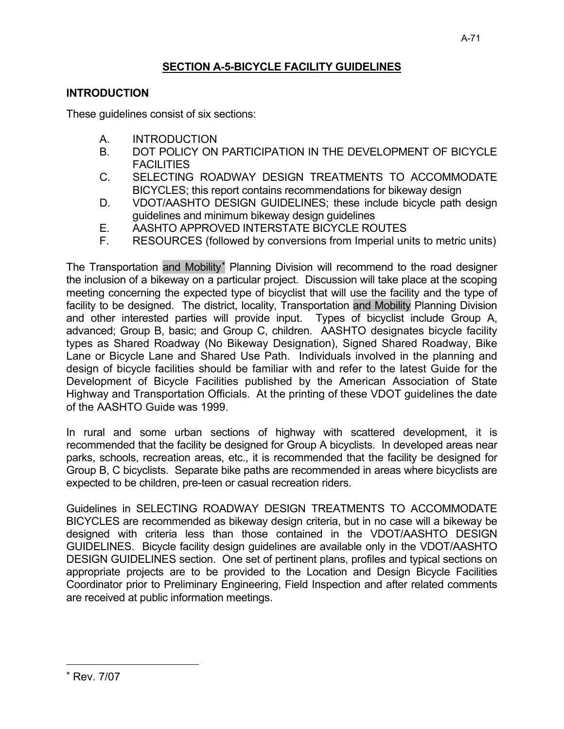## **INTRODUCTION**

These guidelines consist of six sections:

- A. INTRODUCTION
- B. DOT POLICY ON PARTICIPATION IN THE DEVELOPMENT OF BICYCLE **FACILITIES**
- C. SELECTING ROADWAY DESIGN TREATMENTS TO ACCOMMODATE BICYCLES; this report contains recommendations for bikeway design
- D. VDOT/AASHTO DESIGN GUIDELINES; these include bicycle path design guidelines and minimum bikeway design guidelines
- E. AASHTO APPROVED INTERSTATE BICYCLE ROUTES
- F. RESOURCES (followed by conversions from Imperial units to metric units)

The Transportation and Mobility<sup>\*</sup> Planning Division will recommend to the road designer the inclusion of a bikeway on a particular project. Discussion will take place at the scoping meeting concerning the expected type of bicyclist that will use the facility and the type of facility to be designed. The district, locality, Transportation and Mobility Planning Division and other interested parties will provide input. Types of bicyclist include Group A, advanced; Group B, basic; and Group C, children. AASHTO designates bicycle facility types as Shared Roadway (No Bikeway Designation), Signed Shared Roadway, Bike Lane or Bicycle Lane and Shared Use Path. Individuals involved in the planning and design of bicycle facilities should be familiar with and refer to the latest Guide for the Development of Bicycle Facilities published by the American Association of State Highway and Transportation Officials. At the printing of these VDOT guidelines the date of the AASHTO Guide was 1999.

In rural and some urban sections of highway with scattered development, it is recommended that the facility be designed for Group A bicyclists. In developed areas near parks, schools, recreation areas, etc., it is recommended that the facility be designed for Group B, C bicyclists. Separate bike paths are recommended in areas where bicyclists are expected to be children, pre-teen or casual recreation riders.

Guidelines in SELECTING ROADWAY DESIGN TREATMENTS TO ACCOMMODATE BICYCLES are recommended as bikeway design criteria, but in no case will a bikeway be designed with criteria less than those contained in the VDOT/AASHTO DESIGN GUIDELINES. Bicycle facility design guidelines are available only in the VDOT/AASHTO DESIGN GUIDELINES section. One set of pertinent plans, profiles and typical sections on appropriate projects are to be provided to the Location and Design Bicycle Facilities Coordinator prior to Preliminary Engineering, Field Inspection and after related comments are received at public information meetings.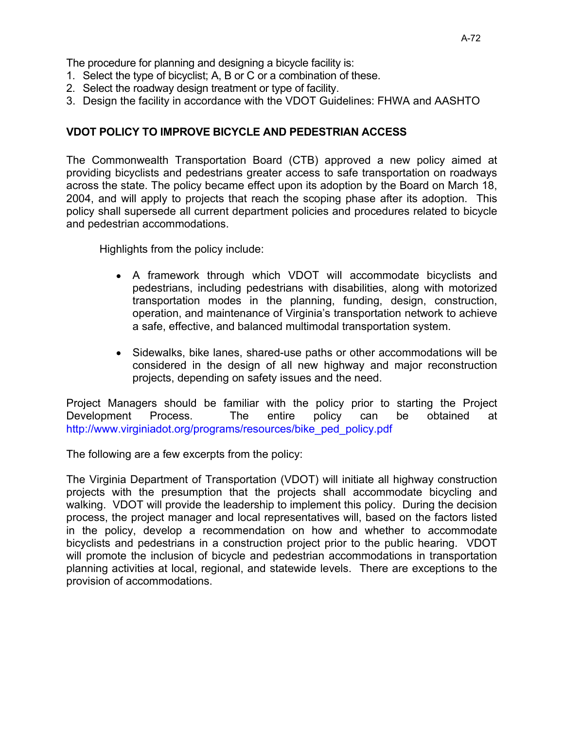The procedure for planning and designing a bicycle facility is:

- 1. Select the type of bicyclist; A, B or C or a combination of these.
- 2. Select the roadway design treatment or type of facility.
- 3. Design the facility in accordance with the VDOT Guidelines: FHWA and AASHTO

## **VDOT POLICY TO IMPROVE BICYCLE AND PEDESTRIAN ACCESS**

The Commonwealth Transportation Board (CTB) approved a new policy aimed at providing bicyclists and pedestrians greater access to safe transportation on roadways across the state. The policy became effect upon its adoption by the Board on March 18, 2004, and will apply to projects that reach the scoping phase after its adoption. This policy shall supersede all current department policies and procedures related to bicycle and pedestrian accommodations.

Highlights from the policy include:

- A framework through which VDOT will accommodate bicyclists and pedestrians, including pedestrians with disabilities, along with motorized transportation modes in the planning, funding, design, construction, operation, and maintenance of Virginia's transportation network to achieve a safe, effective, and balanced multimodal transportation system.
- Sidewalks, bike lanes, shared-use paths or other accommodations will be considered in the design of all new highway and major reconstruction projects, depending on safety issues and the need.

Project Managers should be familiar with the policy prior to starting the Project Development Process. The entire policy can be obtained at http://www.virginiadot.org/programs/resources/bike\_ped\_policy.pdf

The following are a few excerpts from the policy:

The Virginia Department of Transportation (VDOT) will initiate all highway construction projects with the presumption that the projects shall accommodate bicycling and walking. VDOT will provide the leadership to implement this policy. During the decision process, the project manager and local representatives will, based on the factors listed in the policy, develop a recommendation on how and whether to accommodate bicyclists and pedestrians in a construction project prior to the public hearing. VDOT will promote the inclusion of bicycle and pedestrian accommodations in transportation planning activities at local, regional, and statewide levels. There are exceptions to the provision of accommodations.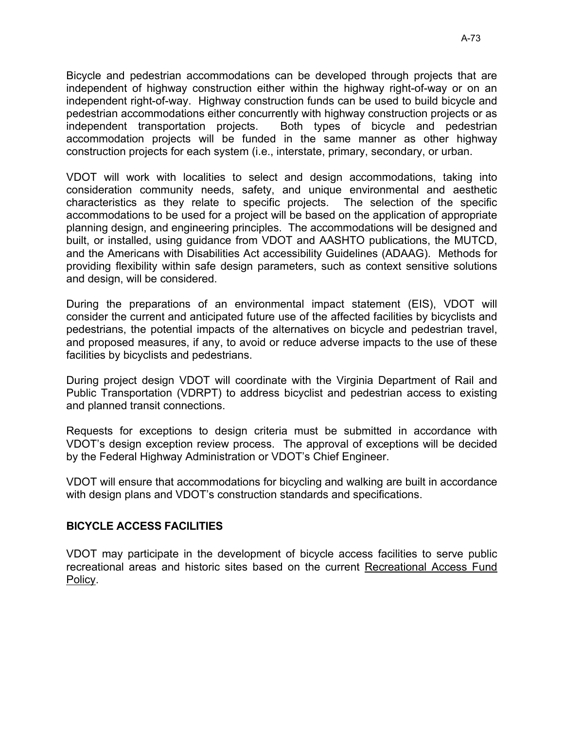Bicycle and pedestrian accommodations can be developed through projects that are independent of highway construction either within the highway right-of-way or on an independent right-of-way. Highway construction funds can be used to build bicycle and pedestrian accommodations either concurrently with highway construction projects or as independent transportation projects. Both types of bicycle and pedestrian accommodation projects will be funded in the same manner as other highway construction projects for each system (i.e., interstate, primary, secondary, or urban.

VDOT will work with localities to select and design accommodations, taking into consideration community needs, safety, and unique environmental and aesthetic characteristics as they relate to specific projects. The selection of the specific accommodations to be used for a project will be based on the application of appropriate planning design, and engineering principles. The accommodations will be designed and built, or installed, using guidance from VDOT and AASHTO publications, the MUTCD, and the Americans with Disabilities Act accessibility Guidelines (ADAAG). Methods for providing flexibility within safe design parameters, such as context sensitive solutions and design, will be considered.

During the preparations of an environmental impact statement (EIS), VDOT will consider the current and anticipated future use of the affected facilities by bicyclists and pedestrians, the potential impacts of the alternatives on bicycle and pedestrian travel, and proposed measures, if any, to avoid or reduce adverse impacts to the use of these facilities by bicyclists and pedestrians.

During project design VDOT will coordinate with the Virginia Department of Rail and Public Transportation (VDRPT) to address bicyclist and pedestrian access to existing and planned transit connections.

Requests for exceptions to design criteria must be submitted in accordance with VDOT's design exception review process. The approval of exceptions will be decided by the Federal Highway Administration or VDOT's Chief Engineer.

VDOT will ensure that accommodations for bicycling and walking are built in accordance with design plans and VDOT's construction standards and specifications.

### **BICYCLE ACCESS FACILITIES**

VDOT may participate in the development of bicycle access facilities to serve public recreational areas and historic sites based on the current Recreational Access Fund Policy.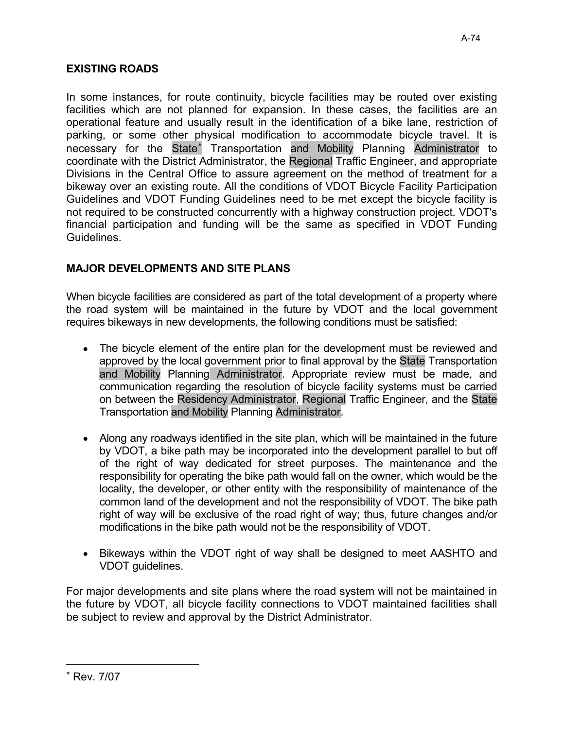In some instances, for route continuity, bicycle facilities may be routed over existing facilities which are not planned for expansion. In these cases, the facilities are an operational feature and usually result in the identification of a bike lane, restriction of parking, or some other physical modification to accommodate bicycle travel. It is necessary for the State\* Transportation and Mobility Planning Administrator to coordinate with the District Administrator, the Regional Traffic Engineer, and appropriate Divisions in the Central Office to assure agreement on the method of treatment for a bikeway over an existing route. All the conditions of VDOT Bicycle Facility Participation Guidelines and VDOT Funding Guidelines need to be met except the bicycle facility is not required to be constructed concurrently with a highway construction project. VDOT's financial participation and funding will be the same as specified in VDOT Funding Guidelines.

## **MAJOR DEVELOPMENTS AND SITE PLANS**

When bicycle facilities are considered as part of the total development of a property where the road system will be maintained in the future by VDOT and the local government requires bikeways in new developments, the following conditions must be satisfied:

- The bicycle element of the entire plan for the development must be reviewed and approved by the local government prior to final approval by the State Transportation and Mobility Planning Administrator. Appropriate review must be made, and communication regarding the resolution of bicycle facility systems must be carried on between the Residency Administrator, Regional Traffic Engineer, and the State Transportation and Mobility Planning Administrator.
- Along any roadways identified in the site plan, which will be maintained in the future by VDOT, a bike path may be incorporated into the development parallel to but off of the right of way dedicated for street purposes. The maintenance and the responsibility for operating the bike path would fall on the owner, which would be the locality, the developer, or other entity with the responsibility of maintenance of the common land of the development and not the responsibility of VDOT. The bike path right of way will be exclusive of the road right of way; thus, future changes and/or modifications in the bike path would not be the responsibility of VDOT.
- Bikeways within the VDOT right of way shall be designed to meet AASHTO and VDOT guidelines.

For major developments and site plans where the road system will not be maintained in the future by VDOT, all bicycle facility connections to VDOT maintained facilities shall be subject to review and approval by the District Administrator.

<sup>\*</sup> Rev. 7/07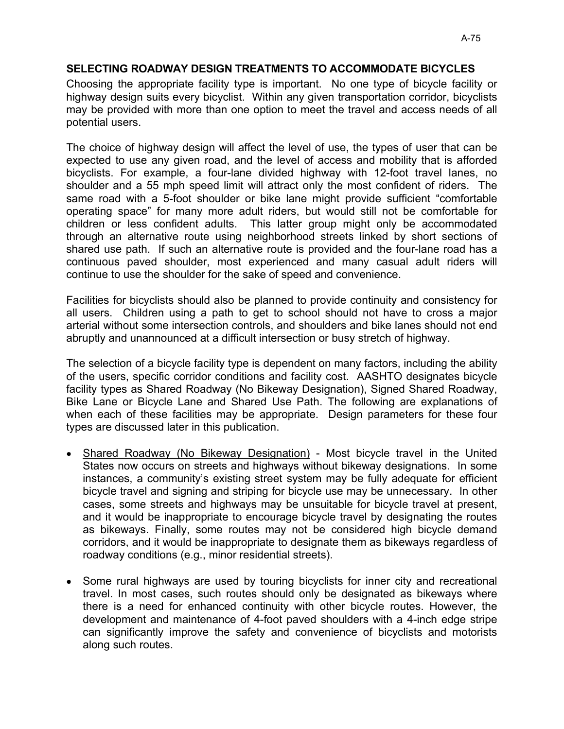## SELECTING ROADWAY DESIGN TREATMENTS TO ACCOMMODATE BICYCLES

Choosing the appropriate facility type is important. No one type of bicycle facility or highway design suits every bicyclist. Within any given transportation corridor, bicyclists may be provided with more than one option to meet the travel and access needs of all potential users.

The choice of highway design will affect the level of use, the types of user that can be expected to use any given road, and the level of access and mobility that is afforded bicyclists. For example, a four-lane divided highway with 12-foot travel lanes, no shoulder and a 55 mph speed limit will attract only the most confident of riders. The same road with a 5-foot shoulder or bike lane might provide sufficient "comfortable operating space" for many more adult riders, but would still not be comfortable for children or less confident adults. This latter group might only be accommodated through an alternative route using neighborhood streets linked by short sections of shared use path. If such an alternative route is provided and the four-lane road has a continuous paved shoulder, most experienced and many casual adult riders will continue to use the shoulder for the sake of speed and convenience.

Facilities for bicyclists should also be planned to provide continuity and consistency for all users. Children using a path to get to school should not have to cross a major arterial without some intersection controls, and shoulders and bike lanes should not end abruptly and unannounced at a difficult intersection or busy stretch of highway.

The selection of a bicycle facility type is dependent on many factors, including the ability of the users, specific corridor conditions and facility cost. AASHTO designates bicycle facility types as Shared Roadway (No Bikeway Designation), Signed Shared Roadway, Bike Lane or Bicycle Lane and Shared Use Path. The following are explanations of when each of these facilities may be appropriate. Design parameters for these four types are discussed later in this publication.

- Shared Roadway (No Bikeway Designation) Most bicycle travel in the United States now occurs on streets and highways without bikeway designations. In some instances, a community's existing street system may be fully adequate for efficient bicycle travel and signing and striping for bicycle use may be unnecessary. In other cases, some streets and highways may be unsuitable for bicycle travel at present, and it would be inappropriate to encourage bicycle travel by designating the routes as bikeways. Finally, some routes may not be considered high bicycle demand corridors, and it would be inappropriate to designate them as bikeways regardless of roadway conditions (e.g., minor residential streets).
- Some rural highways are used by touring bicyclists for inner city and recreational travel. In most cases, such routes should only be designated as bikeways where there is a need for enhanced continuity with other bicycle routes. However, the development and maintenance of 4-foot paved shoulders with a 4-inch edge stripe can significantly improve the safety and convenience of bicyclists and motorists along such routes.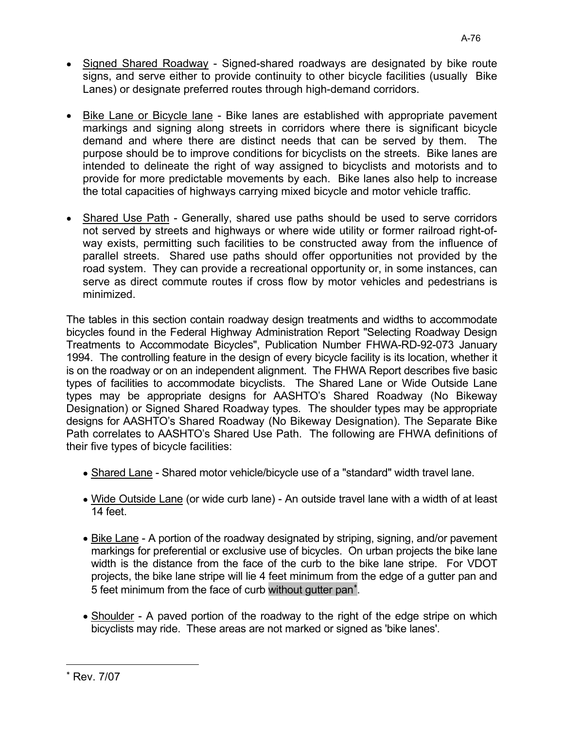- Signed Shared Roadway Signed-shared roadways are designated by bike route signs, and serve either to provide continuity to other bicycle facilities (usually Bike Lanes) or designate preferred routes through high-demand corridors.
- Bike Lane or Bicycle lane Bike lanes are established with appropriate pavement markings and signing along streets in corridors where there is significant bicycle demand and where there are distinct needs that can be served by them. The purpose should be to improve conditions for bicyclists on the streets. Bike lanes are intended to delineate the right of way assigned to bicyclists and motorists and to provide for more predictable movements by each. Bike lanes also help to increase the total capacities of highways carrying mixed bicycle and motor vehicle traffic.
- Shared Use Path Generally, shared use paths should be used to serve corridors not served by streets and highways or where wide utility or former railroad right-ofway exists, permitting such facilities to be constructed away from the influence of parallel streets. Shared use paths should offer opportunities not provided by the road system. They can provide a recreational opportunity or, in some instances, can serve as direct commute routes if cross flow by motor vehicles and pedestrians is minimized.

The tables in this section contain roadway design treatments and widths to accommodate bicycles found in the Federal Highway Administration Report "Selecting Roadway Design Treatments to Accommodate Bicycles", Publication Number FHWA-RD-92-073 January 1994. The controlling feature in the design of every bicycle facility is its location, whether it is on the roadway or on an independent alignment. The FHWA Report describes five basic types of facilities to accommodate bicyclists. The Shared Lane or Wide Outside Lane types may be appropriate designs for AASHTO's Shared Roadway (No Bikeway Designation) or Signed Shared Roadway types. The shoulder types may be appropriate designs for AASHTO's Shared Roadway (No Bikeway Designation). The Separate Bike Path correlates to AASHTO's Shared Use Path. The following are FHWA definitions of their five types of bicycle facilities:

- Shared Lane Shared motor vehicle/bicycle use of a "standard" width travel lane.
- Wide Outside Lane (or wide curb lane) An outside travel lane with a width of at least 14 feet.
- Bike Lane A portion of the roadway designated by striping, signing, and/or pavement markings for preferential or exclusive use of bicycles. On urban projects the bike lane width is the distance from the face of the curb to the bike lane stripe. For VDOT projects, the bike lane stripe will lie 4 feet minimum from the edge of a gutter pan and 5 feet minimum from the face of curb without gutter pan<sup>\*</sup>.
- Shoulder A paved portion of the roadway to the right of the edge stripe on which bicyclists may ride. These areas are not marked or signed as 'bike lanes'.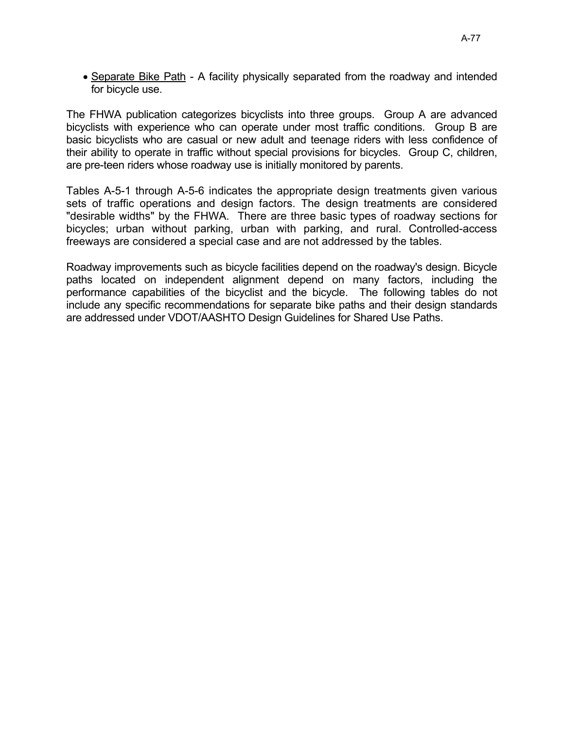• Separate Bike Path - A facility physically separated from the roadway and intended for bicycle use.

The FHWA publication categorizes bicyclists into three groups. Group A are advanced bicyclists with experience who can operate under most traffic conditions. Group B are basic bicyclists who are casual or new adult and teenage riders with less confidence of their ability to operate in traffic without special provisions for bicycles. Group C, children, are pre-teen riders whose roadway use is initially monitored by parents.

Tables A-5-1 through A-5-6 indicates the appropriate design treatments given various sets of traffic operations and design factors. The design treatments are considered "desirable widths" by the FHWA. There are three basic types of roadway sections for bicycles; urban without parking, urban with parking, and rural. Controlled-access freeways are considered a special case and are not addressed by the tables.

Roadway improvements such as bicycle facilities depend on the roadway's design. Bicycle paths located on independent alignment depend on many factors, including the performance capabilities of the bicyclist and the bicycle. The following tables do not include any specific recommendations for separate bike paths and their design standards are addressed under VDOT/AASHTO Design Guidelines for Shared Use Paths.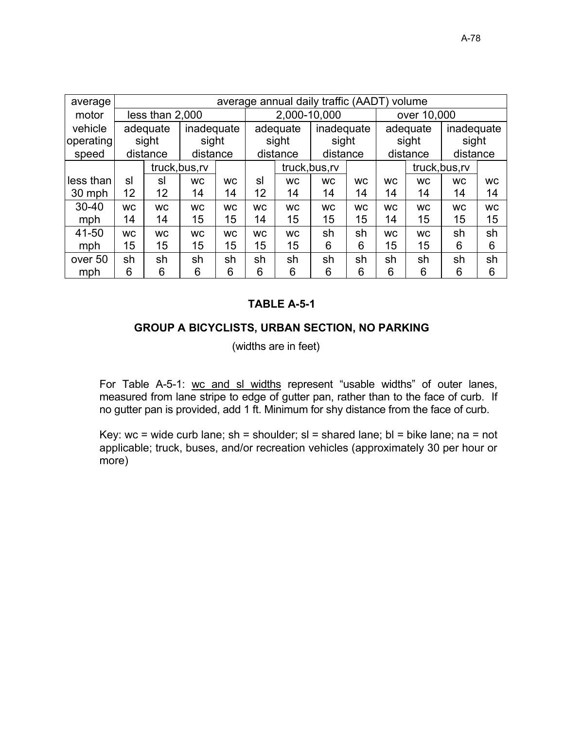| average   |           |                 |                |                  |           |              | average annual daily traffic (AADT) volume |           |           |             |                |           |
|-----------|-----------|-----------------|----------------|------------------|-----------|--------------|--------------------------------------------|-----------|-----------|-------------|----------------|-----------|
| motor     |           | less than 2,000 |                |                  |           | 2,000-10,000 |                                            |           |           | over 10,000 |                |           |
| vehicle   |           | adequate        | inadequate     |                  |           | adequate     | inadequate                                 |           |           | adequate    | inadequate     |           |
| operating |           | sight           | sight          |                  |           | sight        | sight                                      |           |           | sight       | sight          |           |
| speed     |           | distance        | distance       |                  |           | distance     | distance                                   |           |           | distance    | distance       |           |
|           |           |                 | truck, bus, rv |                  |           |              | truck, bus, rv                             |           |           |             | truck, bus, rv |           |
| less than | sl        | sl              | <b>WC</b>      | <b>WC</b>        |           | <b>WC</b>    | <b>WC</b>                                  | <b>WC</b> | <b>WC</b> | <b>WC</b>   | <b>WC</b>      | <b>WC</b> |
| 30 mph    | 12        | 12              | 14             | 14               |           | 14           | 14                                         | 14        | 14        | 14          | 14             | 14        |
| $30 - 40$ | <b>WC</b> | <b>WC</b>       | <b>WC</b>      | <b>WC</b>        | <b>WC</b> | <b>WC</b>    | <b>WC</b>                                  | <b>WC</b> | <b>WC</b> | <b>WC</b>   | <b>WC</b>      | <b>WC</b> |
| mph       | 14        | 14              | 15             | 15 <sub>15</sub> | 14        | 15           | 15                                         | 15        | 14        | 15          | 15             | 15        |
| 41-50     | <b>WC</b> | <b>WC</b>       | <b>WC</b>      | <b>WC</b>        | <b>WC</b> | <b>WC</b>    | sh                                         | sh        | <b>WC</b> | <b>WC</b>   | sh             | sh        |
| mph       | 15        | 15              | 15             | 15               | 15        | 15           | 6                                          | 6         | 15        | 15          | 6              | 6         |
| over 50   | sh        | sh              | sh<br>sh       |                  | sh        | sh           | sh                                         | sh        | sh        | sh          | sh             | sh        |
| mph       | 6         | 6               | 6              | 6                | 6         | 6            | 6                                          | 6         | 6         | 6           | 6              | 6         |

### GROUP A BICYCLISTS, URBAN SECTION, NO PARKING

(widths are in feet)

For Table A-5-1: wc and sl widths represent "usable widths" of outer lanes, measured from lane stripe to edge of gutter pan, rather than to the face of curb. If no gutter pan is provided, add 1 ft. Minimum for shy distance from the face of curb.

Key: wc = wide curb lane;  $sh$  = shoulder;  $sl$  = shared lane;  $bl$  = bike lane;  $na$  = not applicable; truck, buses, and/or recreation vehicles (approximately 30 per hour or more)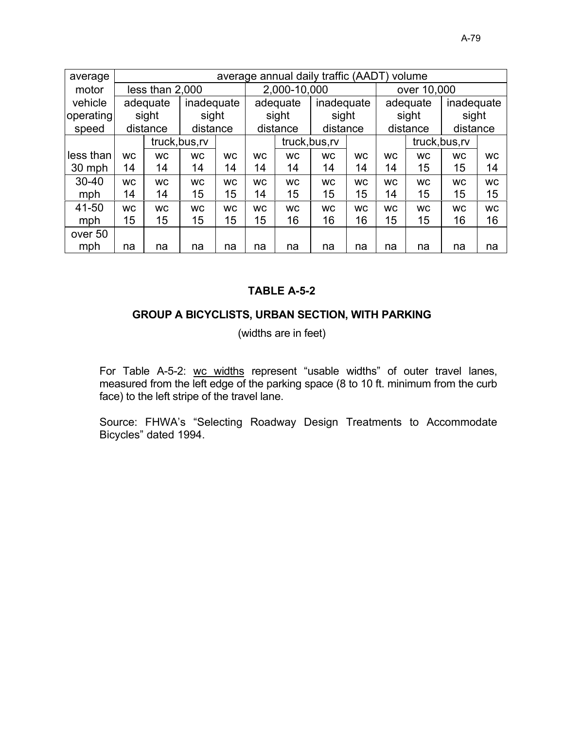| average   |           |                 |                 |           |           |              | average annual daily traffic (AADT) |           |                 | volume      |                |           |
|-----------|-----------|-----------------|-----------------|-----------|-----------|--------------|-------------------------------------|-----------|-----------------|-------------|----------------|-----------|
| motor     |           | less than 2,000 |                 |           |           | 2,000-10,000 |                                     |           |                 | over 10,000 |                |           |
| vehicle   |           | adequate        | inadequate      |           |           | adequate     | inadequate                          |           |                 | adequate    | inadequate     |           |
| operating |           | sight           | sight           |           |           | sight        | sight                               |           |                 | sight       | sight          |           |
| speed     |           | distance        | distance        |           |           | distance     | distance                            |           |                 | distance    | distance       |           |
|           |           |                 | truck, bus, rv  |           |           |              | truck, bus, rv                      |           |                 |             | truck, bus, rv |           |
| less than | <b>WC</b> | <b>WC</b>       | <b>WC</b>       | <b>WC</b> | <b>WC</b> | <b>WC</b>    | <b>WC</b>                           | <b>WC</b> | <b>WC</b>       | <b>WC</b>   | <b>WC</b>      | <b>WC</b> |
| 30 mph    | 14        | 14              | 14              | 14        |           | 14           | 14                                  | 14        | 14              | 15          | 15             | 14        |
| 30-40     | <b>WC</b> | <b>WC</b>       | <b>WC</b>       | <b>WC</b> | <b>WC</b> | <b>WC</b>    | <b>WC</b>                           | <b>WC</b> | <b>WC</b>       | <b>WC</b>   | <b>WC</b>      | <b>WC</b> |
| mph       | 14        | 14              | 15              | 15        | 14        | 15           | 15                                  | 15        | 14              | 15          | 15             | 15        |
| 41-50     | <b>WC</b> | <b>WC</b>       | <b>WC</b>       | <b>WC</b> | <b>WC</b> | <b>WC</b>    | <b>WC</b>                           | <b>WC</b> | <b>WC</b>       | <b>WC</b>   | <b>WC</b>      | <b>WC</b> |
| mph       | 15        | 15              | 15 <sub>1</sub> | 15        | 15        | 16           | 16                                  | 16        | 15 <sub>1</sub> | 15          | 16             | 16        |
| over 50   |           |                 |                 |           |           |              |                                     |           |                 |             |                |           |
| mph       | na        | na              | na              | na        | na        | na           | na                                  | na        | na              | na          | na             | na        |

## GROUP A BICYCLISTS, URBAN SECTION, WITH PARKING

(widths are in feet)

For Table A-5-2: wc widths represent "usable widths" of outer travel lanes, measured from the left edge of the parking space (8 to 10 ft. minimum from the curb face) to the left stripe of the travel lane.

Source: FHWA's "Selecting Roadway Design Treatments to Accommodate Bicycles" dated 1994.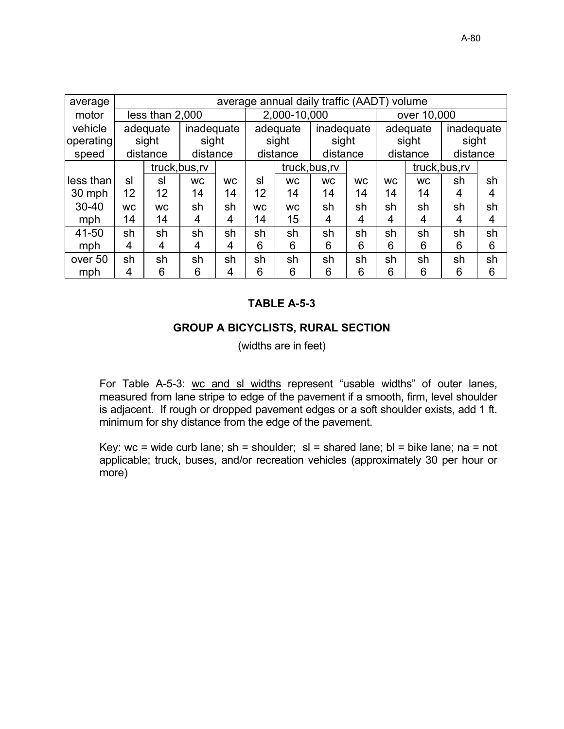| average   |           |                 |                |           |           |              | average annual daily traffic (AADT) volume |           |           |             |                |    |
|-----------|-----------|-----------------|----------------|-----------|-----------|--------------|--------------------------------------------|-----------|-----------|-------------|----------------|----|
| motor     |           | less than 2,000 |                |           |           | 2,000-10,000 |                                            |           |           | over 10,000 |                |    |
| vehicle   |           | adequate        | inadequate     |           |           | adequate     | inadequate                                 |           |           | adequate    | inadequate     |    |
| operating |           | sight           | sight          |           |           | sight        | sight                                      |           |           | sight       | sight          |    |
| speed     |           | distance        | distance       |           |           | distance     | distance                                   |           |           | distance    | distance       |    |
|           |           |                 | truck, bus, rv |           |           |              | truck, bus, rv                             |           |           |             | truck, bus, rv |    |
| less than | sl        | sl              | <b>WC</b>      | <b>WC</b> | sl        | <b>WC</b>    | <b>WC</b>                                  | <b>WC</b> | <b>WC</b> | <b>WC</b>   | sh             | sh |
| 30 mph    | 12        | 12              | 14             | 14        |           | 14           | 14                                         | 14        | 14        | 14          | 4              | 4  |
| $30 - 40$ | <b>WC</b> | <b>WC</b>       | sh             | sh        | <b>WC</b> | <b>WC</b>    | sh                                         | sh        | sh        | sh          | sh             | sh |
| mph       | 14        | 14              | 4              | 4         | 14        | 15           | 4                                          | 4         | 4         | 4           | 4              | 4  |
| 41-50     | sh        | sh              | sh             | sh        | sh        | sh           | sh                                         | sh        | sh        | sh          | sh             | sh |
| mph       | 4         | 4               | 4              | 4         | 6         | 6            | 6                                          | 6         | 6         | 6           | 6              | 6  |
| over 50   | sh        | sh              | sh             | sh        | sh        | sh           | sh                                         | sh        | sh        | sh          | sh             | sh |
| mph       | 4         | 6               | 6              | 4         | 6         | 6            | 6                                          | 6         | 6         | 6           | 6              | 6  |

#### GROUP A BICYCLISTS, RURAL SECTION

(widths are in feet)

For Table A-5-3: wc and sl widths represent "usable widths" of outer lanes, measured from lane stripe to edge of the pavement if a smooth, firm, level shoulder is adjacent. If rough or dropped pavement edges or a soft shoulder exists, add 1 ft. minimum for shy distance from the edge of the pavement.

Key: wc = wide curb lane;  $sh$  = shoulder;  $sl$  = shared lane;  $bl$  = bike lane; na = not applicable; truck, buses, and/or recreation vehicles (approximately 30 per hour or more)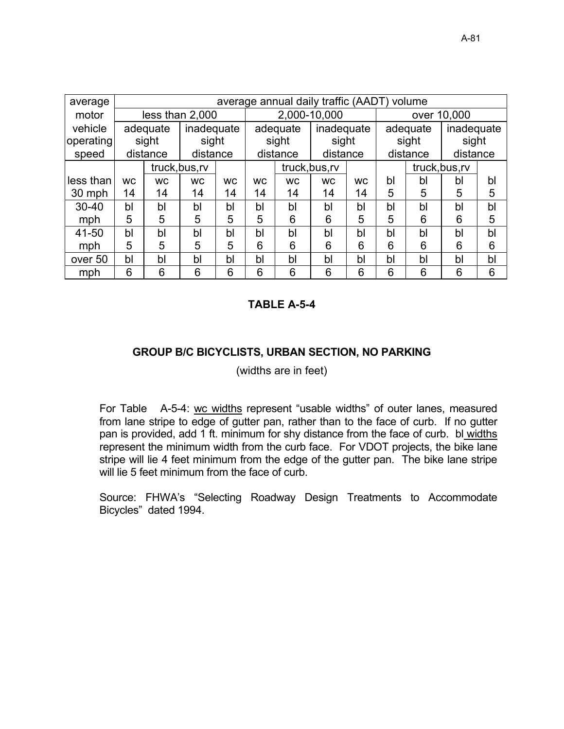| average   |           |           |                                          |    |    |           | average annual daily traffic (AADT) volume |           |    |          |                |    |
|-----------|-----------|-----------|------------------------------------------|----|----|-----------|--------------------------------------------|-----------|----|----------|----------------|----|
| motor     |           |           | less than 2,000                          |    |    |           | 2,000-10,000                               |           |    |          | over 10,000    |    |
| vehicle   |           | adequate  | inadequate                               |    |    | adequate  | inadequate                                 |           |    | adequate | inadequate     |    |
| operating |           | sight     | sight                                    |    |    | sight     | sight                                      |           |    | sight    | sight          |    |
| speed     |           | distance  | distance                                 |    |    | distance  | distance                                   |           |    | distance | distance       |    |
|           |           |           | truck, bus, rv<br><b>WC</b><br><b>WC</b> |    |    |           | truck, bus, rv                             |           |    |          | truck, bus, rv |    |
| less than | <b>WC</b> | <b>WC</b> |                                          |    |    | <b>WC</b> | <b>WC</b>                                  | <b>WC</b> | bl | bl       | bl             | bl |
| 30 mph    | 14        | 14        | 14                                       | 14 |    | 14        | 14                                         | 14        | 5  | 5        | 5              | 5  |
| $30 - 40$ | bl        | bl        | bl                                       | bl | bl | bl        | bl                                         | bl        | bl | bl       | bl             | bl |
| mph       | 5         | 5         | 5                                        | 5  | 5  | 6         | 6                                          | 5         | 5  | 6        | 6              | 5  |
| 41-50     | bl        | bl        | bl                                       | bl | bl | bl        | bl                                         | bl        | bl | bl       | bl             | bl |
| mph       | 5         | 5         | 5                                        | 5  | 6  | 6         | 6                                          | 6         | 6  | 6        | 6              | 6  |
| over 50   | bl        | bl        | bl                                       | bl | bl | bl        | b <sub>l</sub>                             | bl        | bl | bl       | bl             | bl |
| mph       | 6         | 6         | 6                                        | 6  | 6  | 6         | 6                                          | 6         | 6  | 6        | 6              | 6  |

#### GROUP B/C BICYCLISTS, URBAN SECTION, NO PARKING

(widths are in feet)

For Table A-5-4: wc widths represent "usable widths" of outer lanes, measured from lane stripe to edge of gutter pan, rather than to the face of curb. If no gutter pan is provided, add 1 ft. minimum for shy distance from the face of curb. bl widths represent the minimum width from the curb face. For VDOT projects, the bike lane stripe will lie 4 feet minimum from the edge of the gutter pan. The bike lane stripe will lie 5 feet minimum from the face of curb.

Source: FHWA's "Selecting Roadway Design Treatments to Accommodate Bicycles" dated 1994.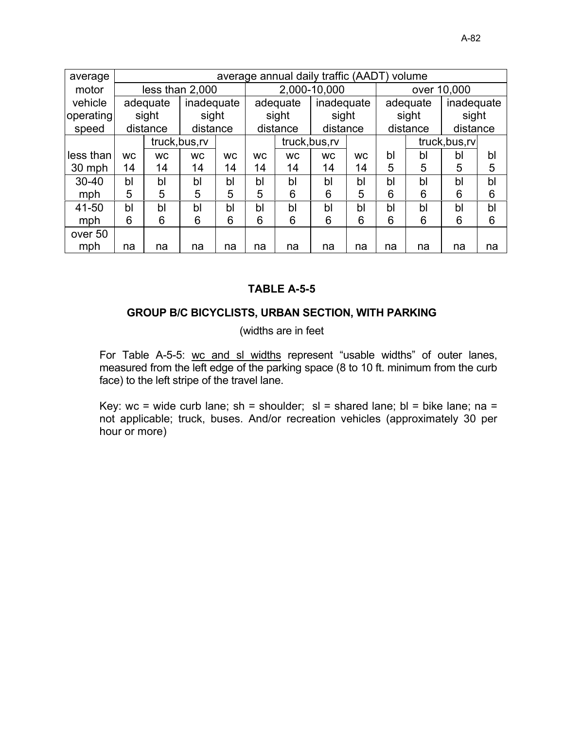| average   |                |           |                        |    |           |                | average annual daily traffic (AADT) volume |                |    |          |                |    |
|-----------|----------------|-----------|------------------------|----|-----------|----------------|--------------------------------------------|----------------|----|----------|----------------|----|
| motor     |                |           | less than 2,000        |    |           |                | 2,000-10,000                               |                |    |          | over 10,000    |    |
| vehicle   |                | adequate  | inadequate             |    |           | adequate       | inadequate                                 |                |    | adequate | inadequate     |    |
| operating |                | sight     | sight                  |    |           | sight          | sight                                      |                |    | sight    | sight          |    |
| speed     |                | distance  | distance               |    |           | distance       | distance                                   |                |    | distance | distance       |    |
|           |                |           | truck, bus, rv         |    |           |                | truck, bus, rv                             |                |    |          | truck, bus, rv |    |
| less than | <b>WC</b>      | <b>WC</b> | <b>WC</b><br><b>WC</b> |    | <b>WC</b> | <b>WC</b>      | <b>WC</b>                                  | <b>WC</b>      | bl | bl       | bl             | bl |
| 30 mph    | 14             | 14        | 14                     | 14 | 14        | 14             | 14                                         | 14             | 5  | 5        | 5              | 5  |
| $30 - 40$ | b <sub>l</sub> | bl        | b <sub>l</sub>         | bl | bl        | b <sub>l</sub> | bl                                         | b <sub>l</sub> | bl | bl       | bl             | b  |
| mph       | 5              | 5         | 5                      | 5  | 5         | 6              | 6                                          | 5              | 6  | 6        | 6              | 6  |
| 41-50     | bl             | bl        | bl                     | bl | bl        | bl             | bl                                         | bl             | bl | bl       | bl             | bl |
| mph       | 6              | 6         | 6                      | 6  | 6         | 6              | 6                                          | 6              | 6  | 6        | 6              | 6  |
| over 50   |                |           |                        |    |           |                |                                            |                |    |          |                |    |
| mph       | na             | na        | na                     | na | na        | na             | na                                         | na             | na | na       | na             | na |

### GROUP B/C BICYCLISTS, URBAN SECTION, WITH PARKING

(widths are in feet

For Table A-5-5: wc and sl widths represent "usable widths" of outer lanes, measured from the left edge of the parking space (8 to 10 ft. minimum from the curb face) to the left stripe of the travel lane.

Key: wc = wide curb lane; sh = shoulder; sl = shared lane; bl = bike lane; na = not applicable; truck, buses. And/or recreation vehicles (approximately 30 per hour or more)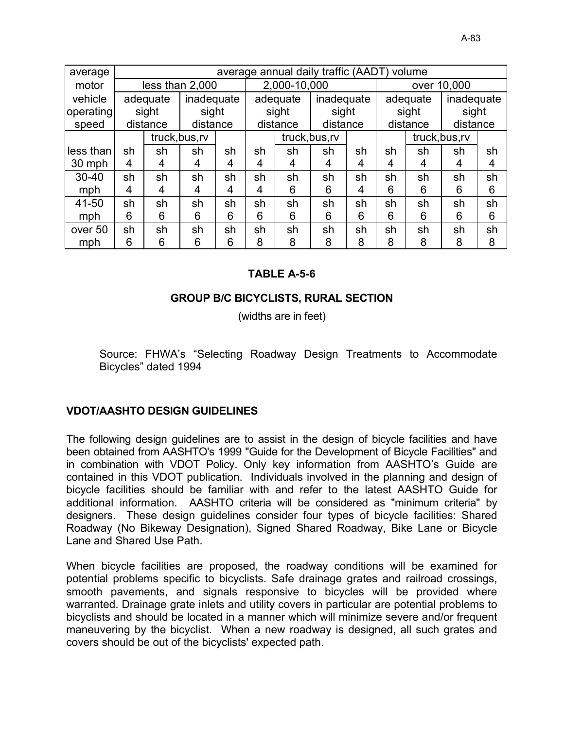| average   |    |                |                            |    |    |              | average annual daily traffic (AADT) volume |    |    |          |                |    |
|-----------|----|----------------|----------------------------|----|----|--------------|--------------------------------------------|----|----|----------|----------------|----|
| motor     |    |                | less than 2,000            |    |    | 2,000-10,000 |                                            |    |    |          | over 10,000    |    |
| vehicle   |    | adequate       | inadequate                 |    |    | adequate     | inadequate                                 |    |    | adequate | inadequate     |    |
| operating |    | sight          | sight                      |    |    | sight        | sight                                      |    |    | sight    | sight          |    |
| speed     |    | distance       | distance                   |    |    | distance     | distance                                   |    |    | distance | distance       |    |
|           |    |                |                            |    |    |              | truck, bus, rv                             |    |    |          | truck, bus, rv |    |
| less than | sh | sh             | truck, bus, rv<br>sh<br>sh |    | sh | sh           | sh                                         | sh | sh | sh       | sh             | sh |
| 30 mph    | 4  | 4              | 4                          | 4  | 4  | 4            | 4                                          | 4  | 4  | 4        | 4              | 4  |
| $30 - 40$ | sh | sh             | sh                         | sh | sh | sh           | sh                                         | sh | sh | sh       | sh             | sh |
| mph       | 4  | 4              | 4                          | 4  | 4  | 6            | 6                                          | 4  | 6  | 6        | 6              | 6  |
| 41-50     | sh | sh             | sh                         | sh | sh | sh           | sh                                         | sh | sh | sh       | sh             | sh |
| mph       | 6  | 6              | 6                          | 6  | 6  | 6            | 6                                          | 6  | 6  | 6        | 6              | 6  |
| over 50   | sh | sh<br>sh<br>sh |                            |    | sh | sh           | sh                                         | sh | sh | sh       | sh             | sh |
| mph       | 6  | 6              | 6                          | 6  | 8  | 8            | 8                                          | 8  | 8  | 8        | 8              | 8  |

## **GROUP B/C BICYCLISTS, RURAL SECTION**

(widths are in feet)

Source: FHWA's "Selecting Roadway Design Treatments to Accommodate Bicycles" dated 1994

### **VDOT/AASHTO DESIGN GUIDELINES**

The following design guidelines are to assist in the design of bicycle facilities and have been obtained from AASHTO's 1999 "Guide for the Development of Bicycle Facilities" and in combination with VDOT Policy. Only key information from AASHTO's Guide are contained in this VDOT publication. Individuals involved in the planning and design of bicycle facilities should be familiar with and refer to the latest AASHTO Guide for additional information. AASHTO criteria will be considered as "minimum criteria" by designers. These design guidelines consider four types of bicycle facilities: Shared Roadway (No Bikeway Designation), Signed Shared Roadway, Bike Lane or Bicycle Lane and Shared Use Path.

When bicycle facilities are proposed, the roadway conditions will be examined for potential problems specific to bicyclists. Safe drainage grates and railroad crossings, smooth pavements, and signals responsive to bicycles will be provided where warranted. Drainage grate inlets and utility covers in particular are potential problems to bicyclists and should be located in a manner which will minimize severe and/or frequent maneuvering by the bicyclist. When a new roadway is designed, all such grates and covers should be out of the bicyclists' expected path.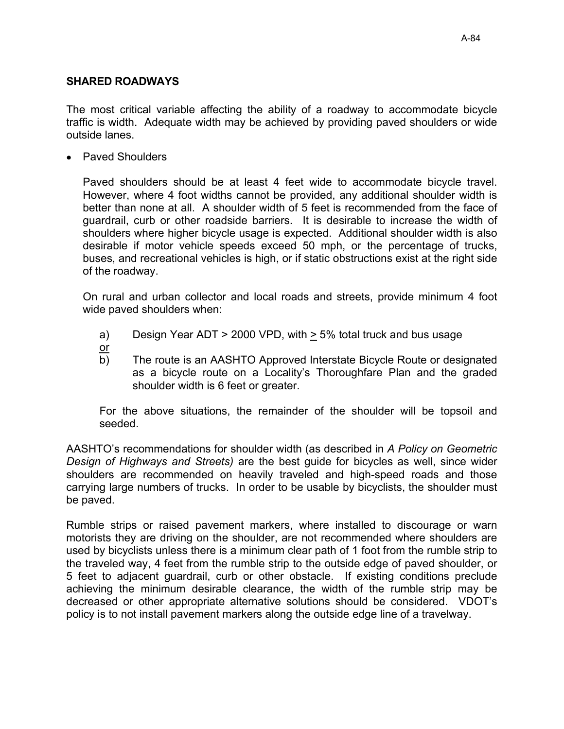#### **SHARED ROADWAYS**

The most critical variable affecting the ability of a roadway to accommodate bicycle traffic is width. Adequate width may be achieved by providing paved shoulders or wide outside lanes.

• Paved Shoulders

Paved shoulders should be at least 4 feet wide to accommodate bicycle travel. However, where 4 foot widths cannot be provided, any additional shoulder width is better than none at all. A shoulder width of 5 feet is recommended from the face of quardrail, curb or other roadside barriers. It is desirable to increase the width of shoulders where higher bicycle usage is expected. Additional shoulder width is also desirable if motor vehicle speeds exceed 50 mph, or the percentage of trucks, buses, and recreational vehicles is high, or if static obstructions exist at the right side of the roadway.

On rural and urban collector and local roads and streets, provide minimum 4 foot wide paved shoulders when:

- Design Year ADT > 2000 VPD, with > 5% total truck and bus usage  $a)$
- $\overline{or}$
- b) The route is an AASHTO Approved Interstate Bicycle Route or designated as a bicycle route on a Locality's Thoroughfare Plan and the graded shoulder width is 6 feet or greater.

For the above situations, the remainder of the shoulder will be topsoil and seeded.

AASHTO's recommendations for shoulder width (as described in A Policy on Geometric Design of Highways and Streets) are the best quide for bicycles as well, since wider shoulders are recommended on heavily traveled and high-speed roads and those carrying large numbers of trucks. In order to be usable by bicyclists, the shoulder must be paved.

Rumble strips or raised pavement markers, where installed to discourage or warn motorists they are driving on the shoulder, are not recommended where shoulders are used by bicyclists unless there is a minimum clear path of 1 foot from the rumble strip to the traveled way, 4 feet from the rumble strip to the outside edge of paved shoulder, or 5 feet to adjacent guardrail, curb or other obstacle. If existing conditions preclude achieving the minimum desirable clearance, the width of the rumble strip may be decreased or other appropriate alternative solutions should be considered. VDOT's policy is to not install pavement markers along the outside edge line of a travelway.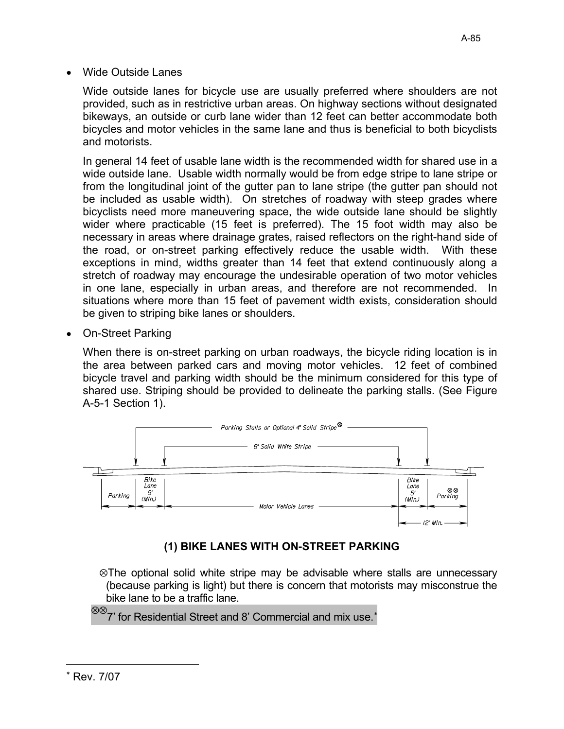Wide outside lanes for bicycle use are usually preferred where shoulders are not provided, such as in restrictive urban areas. On highway sections without designated bikeways, an outside or curb lane wider than 12 feet can better accommodate both bicycles and motor vehicles in the same lane and thus is beneficial to both bicyclists and motorists.

In general 14 feet of usable lane width is the recommended width for shared use in a wide outside lane. Usable width normally would be from edge stripe to lane stripe or from the longitudinal joint of the gutter pan to lane stripe (the gutter pan should not be included as usable width). On stretches of roadway with steep grades where bicyclists need more maneuvering space, the wide outside lane should be slightly wider where practicable (15 feet is preferred). The 15 foot width may also be necessary in areas where drainage grates, raised reflectors on the right-hand side of the road, or on-street parking effectively reduce the usable width. With these exceptions in mind, widths greater than 14 feet that extend continuously along a stretch of roadway may encourage the undesirable operation of two motor vehicles in one lane, especially in urban areas, and therefore are not recommended. In situations where more than 15 feet of pavement width exists, consideration should be given to striping bike lanes or shoulders.

On-Street Parking

When there is on-street parking on urban roadways, the bicycle riding location is in the area between parked cars and moving motor vehicles. 12 feet of combined bicycle travel and parking width should be the minimum considered for this type of shared use. Striping should be provided to delineate the parking stalls. (See Figure A-5-1 Section 1).



# (1) BIKE LANES WITH ON-STREET PARKING

 $\otimes$ The optional solid white stripe may be advisable where stalls are unnecessary (because parking is light) but there is concern that motorists may misconstrue the bike lane to be a traffic lane.

 ${}^{\otimes\otimes}$ 7' for Residential Street and 8' Commercial and mix use. $^*$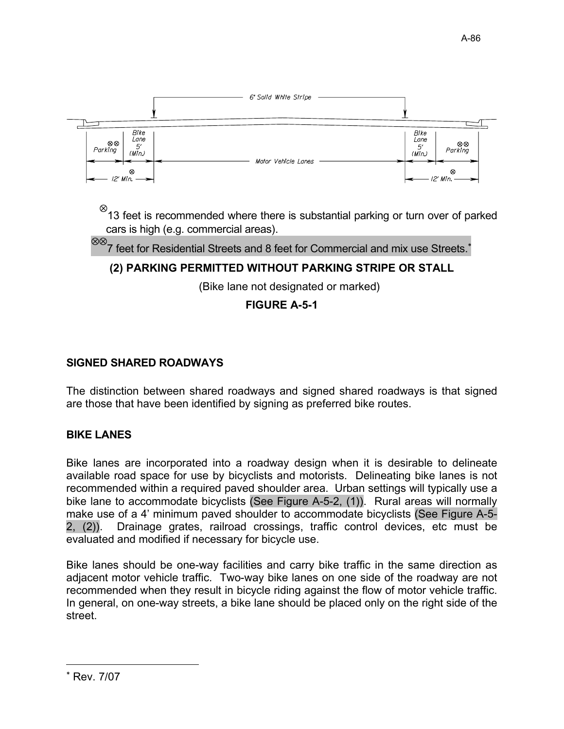

 $\frac{\otimes}{\hspace{1pt}}$  13 feet is recommended where there is substantial parking or turn over of parked cars is high (e.g. commercial areas).

 $\otimes\otimes$ 7 feet for Residential Streets and 8 feet for Commercial and mix use Streets.<sup>\*</sup>

# (2) PARKING PERMITTED WITHOUT PARKING STRIPE OR STALL

(Bike lane not designated or marked)

## **FIGURE A-5-1**

## **SIGNED SHARED ROADWAYS**

The distinction between shared roadways and signed shared roadways is that signed are those that have been identified by signing as preferred bike routes.

## **BIKE LANES**

Bike lanes are incorporated into a roadway design when it is desirable to delineate available road space for use by bicyclists and motorists. Delineating bike lanes is not recommended within a required paved shoulder area. Urban settings will typically use a bike lane to accommodate bicyclists (See Figure A-5-2, (1)). Rural areas will normally make use of a 4' minimum paved shoulder to accommodate bicyclists (See Figure A-5-Drainage grates, railroad crossings, traffic control devices, etc must be  $2, (2)$ ). evaluated and modified if necessary for bicycle use.

Bike lanes should be one-way facilities and carry bike traffic in the same direction as adiacent motor vehicle traffic. Two-way bike lanes on one side of the roadway are not recommended when they result in bicycle riding against the flow of motor vehicle traffic. In general, on one-way streets, a bike lane should be placed only on the right side of the street.

<sup>\*</sup> Rev. 7/07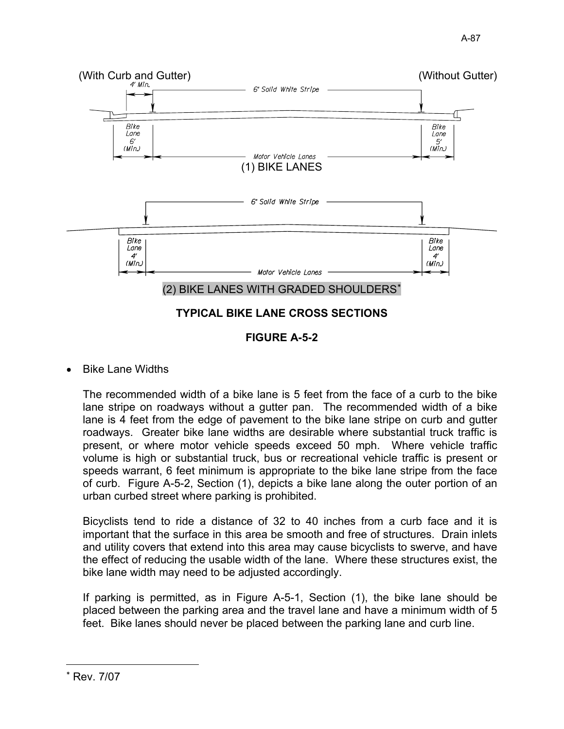

**FIGURE A-5-2** 

Bike Lane Widths

The recommended width of a bike lane is 5 feet from the face of a curb to the bike lane stripe on roadways without a gutter pan. The recommended width of a bike lane is 4 feet from the edge of pavement to the bike lane stripe on curb and gutter roadways. Greater bike lane widths are desirable where substantial truck traffic is present, or where motor vehicle speeds exceed 50 mph. Where vehicle traffic volume is high or substantial truck, bus or recreational vehicle traffic is present or speeds warrant, 6 feet minimum is appropriate to the bike lane stripe from the face of curb. Figure A-5-2, Section (1), depicts a bike lane along the outer portion of an urban curbed street where parking is prohibited.

Bicyclists tend to ride a distance of 32 to 40 inches from a curb face and it is important that the surface in this area be smooth and free of structures. Drain inlets and utility covers that extend into this area may cause bicyclists to swerve, and have the effect of reducing the usable width of the lane. Where these structures exist, the bike lane width may need to be adjusted accordingly.

If parking is permitted, as in Figure A-5-1, Section (1), the bike lane should be placed between the parking area and the travel lane and have a minimum width of 5 feet. Bike lanes should never be placed between the parking lane and curb line.

Rev. 7/07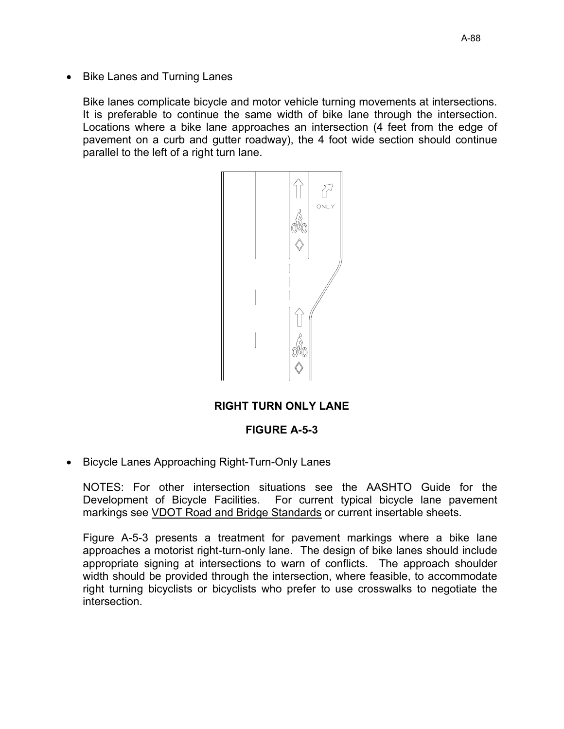• Bike Lanes and Turning Lanes

Bike lanes complicate bicycle and motor vehicle turning movements at intersections. It is preferable to continue the same width of bike lane through the intersection. Locations where a bike lane approaches an intersection (4 feet from the edge of pavement on a curb and gutter roadway), the 4 foot wide section should continue parallel to the left of a right turn lane.



## RIGHT TURN ONLY LANE

### **FIGURE A-5-3**

• Bicycle Lanes Approaching Right-Turn-Only Lanes

NOTES: For other intersection situations see the AASHTO Guide for the Development of Bicycle Facilities. For current typical bicycle lane pavement markings see VDOT Road and Bridge Standards or current insertable sheets.

Figure A-5-3 presents a treatment for pavement markings where a bike lane approaches a motorist right-turn-only lane. The design of bike lanes should include appropriate signing at intersections to warn of conflicts. The approach shoulder width should be provided through the intersection, where feasible, to accommodate right turning bicyclists or bicyclists who prefer to use crosswalks to negotiate the intersection.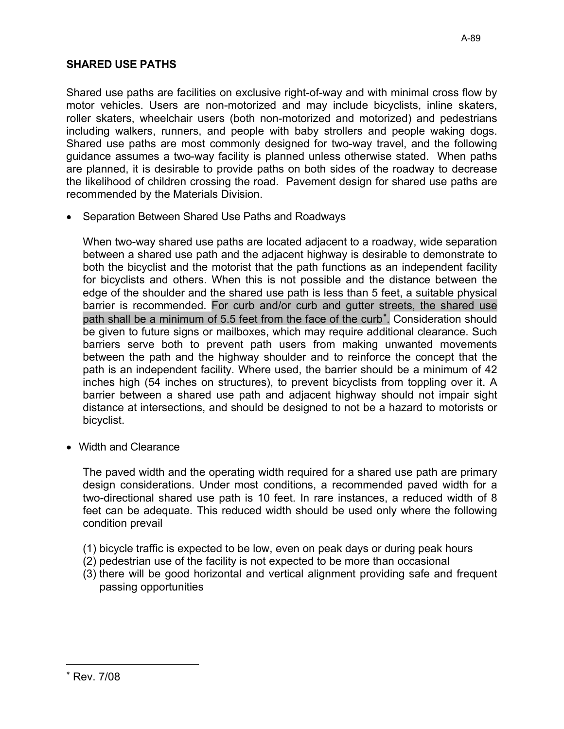## SHARED USE PATHS

Shared use paths are facilities on exclusive right-of-way and with minimal cross flow by motor vehicles. Users are non-motorized and may include bicyclists, inline skaters, roller skaters, wheelchair users (both non-motorized and motorized) and pedestrians including walkers, runners, and people with baby strollers and people waking dogs. Shared use paths are most commonly designed for two-way travel, and the following guidance assumes a two-way facility is planned unless otherwise stated. When paths are planned, it is desirable to provide paths on both sides of the roadway to decrease the likelihood of children crossing the road. Pavement design for shared use paths are recommended by the Materials Division.

• Separation Between Shared Use Paths and Roadways

When two-way shared use paths are located adjacent to a roadway, wide separation between a shared use path and the adjacent highway is desirable to demonstrate to both the bicyclist and the motorist that the path functions as an independent facility for bicyclists and others. When this is not possible and the distance between the edge of the shoulder and the shared use path is less than 5 feet, a suitable physical barrier is recommended. For curb and/or curb and gutter streets, the shared use path shall be a minimum of 5.5 feet from the face of the curb<sup>\*</sup>. Consideration should be given to future signs or mailboxes, which may require additional clearance. Such barriers serve both to prevent path users from making unwanted movements between the path and the highway shoulder and to reinforce the concept that the path is an independent facility. Where used, the barrier should be a minimum of 42 inches high (54 inches on structures), to prevent bicyclists from toppling over it. A barrier between a shared use path and adjacent highway should not impair sight distance at intersections, and should be designed to not be a hazard to motorists or bicyclist.

• Width and Clearance

The paved width and the operating width required for a shared use path are primary design considerations. Under most conditions, a recommended paved width for a two-directional shared use path is 10 feet. In rare instances, a reduced width of 8 feet can be adequate. This reduced width should be used only where the following condition prevail

- (1) bicycle traffic is expected to be low, even on peak days or during peak hours
- (2) pedestrian use of the facility is not expected to be more than occasional
- (3) there will be good horizontal and vertical alignment providing safe and frequent passing opportunities

Rev. 7/08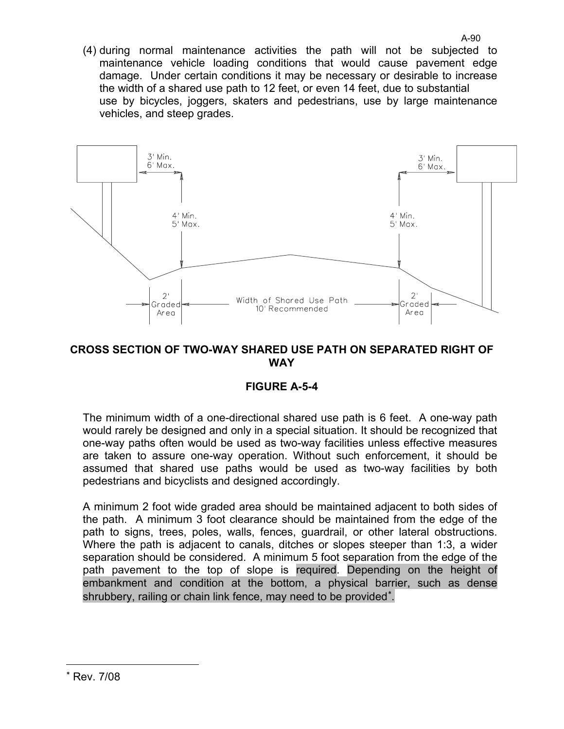(4) during normal maintenance activities the path will not be subjected to maintenance vehicle loading conditions that would cause pavement edge damage. Under certain conditions it may be necessary or desirable to increase the width of a shared use path to 12 feet, or even 14 feet, due to substantial use by bicycles, joggers, skaters and pedestrians, use by large maintenance vehicles, and steep grades.



### CROSS SECTION OF TWO-WAY SHARED USE PATH ON SEPARATED RIGHT OF **WAY**

## **FIGURF A-5-4**

The minimum width of a one-directional shared use path is 6 feet. A one-way path would rarely be designed and only in a special situation. It should be recognized that one-way paths often would be used as two-way facilities unless effective measures are taken to assure one-way operation. Without such enforcement, it should be assumed that shared use paths would be used as two-way facilities by both pedestrians and bicyclists and designed accordingly.

A minimum 2 foot wide graded area should be maintained adjacent to both sides of the path. A minimum 3 foot clearance should be maintained from the edge of the path to signs, trees, poles, walls, fences, guardrail, or other lateral obstructions. Where the path is adjacent to canals, ditches or slopes steeper than 1:3, a wider separation should be considered. A minimum 5 foot separation from the edge of the path pavement to the top of slope is required. Depending on the height of embankment and condition at the bottom, a physical barrier, such as dense shrubbery, railing or chain link fence, may need to be provided<sup>\*</sup>.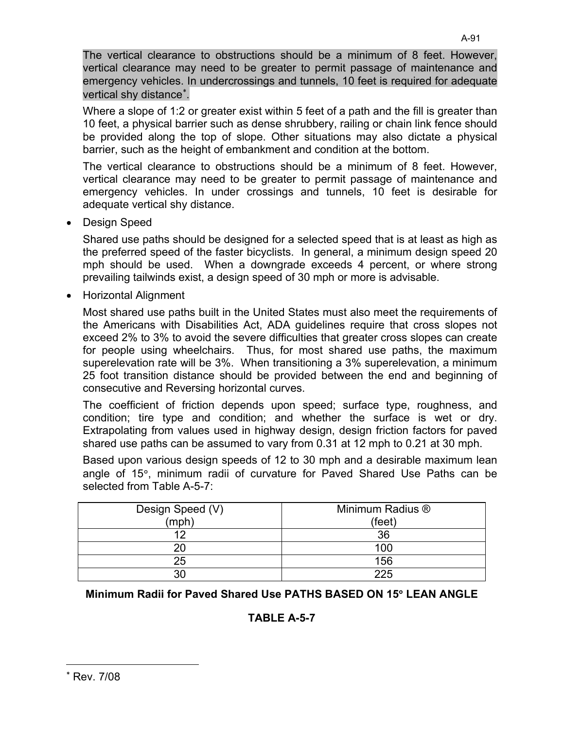The vertical clearance to obstructions should be a minimum of 8 feet. However, vertical clearance may need to be greater to permit passage of maintenance and emergency vehicles. In undercrossings and tunnels, 10 feet is required for adequate vertical shy distance<sup>\*</sup>.

Where a slope of 1:2 or greater exist within 5 feet of a path and the fill is greater than 10 feet, a physical barrier such as dense shrubbery, railing or chain link fence should be provided along the top of slope. Other situations may also dictate a physical barrier, such as the height of embankment and condition at the bottom.

The vertical clearance to obstructions should be a minimum of 8 feet. However, vertical clearance may need to be greater to permit passage of maintenance and emergency vehicles. In under crossings and tunnels, 10 feet is desirable for adequate vertical shy distance.

• Design Speed

Shared use paths should be designed for a selected speed that is at least as high as the preferred speed of the faster bicyclists. In general, a minimum design speed 20 mph should be used. When a downgrade exceeds 4 percent, or where strong prevailing tailwinds exist, a design speed of 30 mph or more is advisable.

Horizontal Alignment

Most shared use paths built in the United States must also meet the requirements of the Americans with Disabilities Act, ADA guidelines require that cross slopes not exceed 2% to 3% to avoid the severe difficulties that greater cross slopes can create for people using wheelchairs. Thus, for most shared use paths, the maximum superelevation rate will be 3%. When transitioning a 3% superelevation, a minimum 25 foot transition distance should be provided between the end and beginning of consecutive and Reversing horizontal curves.

The coefficient of friction depends upon speed; surface type, roughness, and condition; tire type and condition; and whether the surface is wet or dry. Extrapolating from values used in highway design, design friction factors for paved shared use paths can be assumed to vary from 0.31 at 12 mph to 0.21 at 30 mph.

Based upon various design speeds of 12 to 30 mph and a desirable maximum lean angle of 15°, minimum radii of curvature for Paved Shared Use Paths can be selected from Table A-5-7:

| Design Speed (V)<br>(mph) | Minimum Radius ®<br>(feet) |
|---------------------------|----------------------------|
| 12                        | 36                         |
| 20                        | 100                        |
| 25                        | 156                        |
| חצ                        | 225                        |

Minimum Radii for Paved Shared Use PATHS BASED ON 15° LEAN ANGLE

## TABLE A-5-7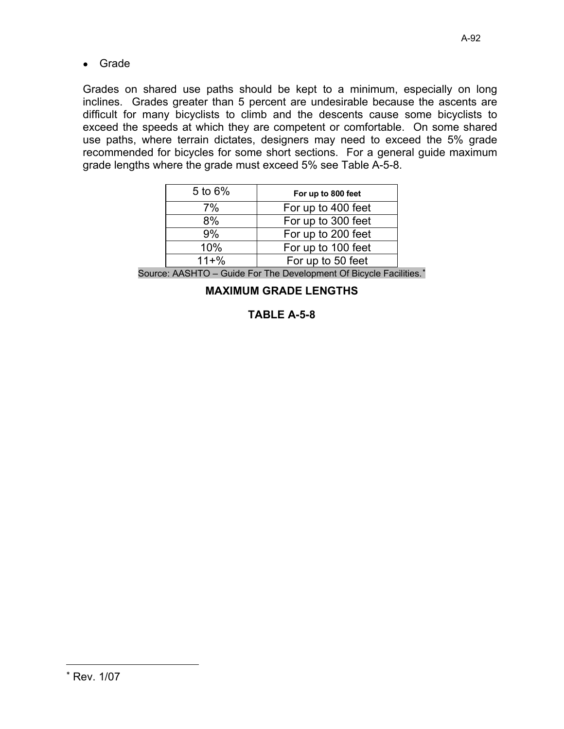$\bullet$  Grade

Grades on shared use paths should be kept to a minimum, especially on long inclines. Grades greater than 5 percent are undesirable because the ascents are difficult for many bicyclists to climb and the descents cause some bicyclists to exceed the speeds at which they are competent or comfortable. On some shared use paths, where terrain dictates, designers may need to exceed the 5% grade recommended for bicycles for some short sections. For a general guide maximum grade lengths where the grade must exceed 5% see Table A-5-8.

| 5 to $6\%$ | For up to 800 feet |
|------------|--------------------|
| 7%         | For up to 400 feet |
| 8%         | For up to 300 feet |
| 9%         | For up to 200 feet |
| 10%        | For up to 100 feet |
| $11 + \%$  | For up to 50 feet  |

Source: AASHTO - Guide For The Development Of Bicycle Facilities.\*

**MAXIMUM GRADE LENGTHS** 

## TABLE A-5-8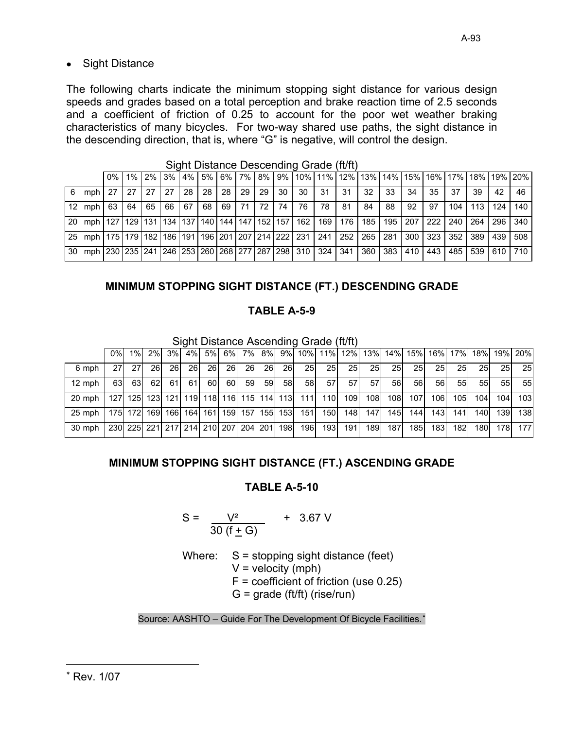## • Sight Distance

The following charts indicate the minimum stopping sight distance for various design speeds and grades based on a total perception and brake reaction time of 2.5 seconds and a coefficient of friction of 0.25 to account for the poor wet weather braking characteristics of many bicycles. For two-way shared use paths, the sight distance in the descending direction, that is, where "G" is negative, will control the design.

|   |                                                                                                                    | $0\%$ 1% |         |                                       |    |                 |         |       |    |    |      |    |                 |                       |    |     |     | 2% 3% 4% 5% 6% 7% 8% 9% 10% 11% 12% 13% 14% 15% 16% 17% 18% 19% 20% |         |
|---|--------------------------------------------------------------------------------------------------------------------|----------|---------|---------------------------------------|----|-----------------|---------|-------|----|----|------|----|-----------------|-----------------------|----|-----|-----|---------------------------------------------------------------------|---------|
| 6 | mph                                                                                                                | $27$ 27  | $27$ 27 |                                       | 28 | 28 <sub>1</sub> | $28$ 29 | 29 30 | 30 | 31 | - 31 | 32 | 33              | 34                    | 35 | 37  | 39  | 42                                                                  | - 46    |
|   | $12 \text{ mph}$                                                                                                   | 63 64    |         | 65   66   67   68   69   71   72   74 |    |                 |         |       | 76 | 78 | - 81 | 84 | 88              | 92                    | 97 | 104 | 113 |                                                                     | 124 140 |
|   | 20 mph   127   129   131   134   137   140   144   147   152   157   162   169   176   185                         |          |         |                                       |    |                 |         |       |    |    |      |    |                 | 195   207   222   240 |    |     | 264 |                                                                     | 296 340 |
|   | 25 mph   175   179   182   186   191   196   201   207   214   222   231   241   252   265   281   300   323   352 |          |         |                                       |    |                 |         |       |    |    |      |    |                 |                       |    |     | 389 | 439 508                                                             |         |
|   | 30 mph 230 235 241 246 253 260 268 277 287 298 310 324 341 360                                                     |          |         |                                       |    |                 |         |       |    |    |      |    | 383 410 443 485 |                       |    |     |     | 539 610 710                                                         |         |

Sight Distance Descending Grade (ft/ft)

## MINIMUM STOPPING SIGHT DISTANCE (FT.) DESCENDING GRADE

## **TABLE A-5-9**

Sight Distance Ascending Grade (ft/ft)

|                  | 0%I  | $1\%$      | 2%                                  | 3%        | 4%          | 5%l | 6%l |             | 7% 8% |                                     |            | 9% 10% 11% 12% 13% 14% 15% 16% 17% 18% |                 |           |           |            |                  |                  |                  |                  | 19% 20%   |
|------------------|------|------------|-------------------------------------|-----------|-------------|-----|-----|-------------|-------|-------------------------------------|------------|----------------------------------------|-----------------|-----------|-----------|------------|------------------|------------------|------------------|------------------|-----------|
| 6 mph            | 271  | <b>271</b> | <b>261</b>                          | <b>26</b> | <b>26</b>   | 26  | 26  | <b>26</b>   | 26    | <b>26</b>                           | 25         | 25                                     | 25              | <b>25</b> | <b>25</b> | <b>25I</b> | <b>25</b>        | 25 <sub>l</sub>  | <b>25</b>        | 25 <sub>l</sub>  | <b>25</b> |
| $12 \text{ mph}$ | 63   | 63         | 62I                                 | 61        | 61          | 60  | 60  | 59          | 59    | 58 <sub>l</sub>                     | 58         | 57 <sub>l</sub>                        | 57 <sup>1</sup> | 57        | 561       | 56         | 56               | 551              | 551              | 55I              | 55        |
| 20 mph           | 127I |            |                                     |           |             |     |     |             |       | 125 123 121 119 118 116 115 114 113 | $111$      | 110 <sup>1</sup>                       | 109             | 108       | 108       | 107        | 106              | 105 <sub>1</sub> | 104 <sub>1</sub> | 1041             | 103       |
| 25 mph           |      | 175 172    | 169                                 |           | 166 164 161 |     |     | 159 157 155 |       | 153                                 | 151        | 150                                    | 148I            | 147       | 145       | 1441       | 143              | 141              | <b>140</b>       | 139 <sup>°</sup> | 138       |
| 30 mph           |      |            | 230 225 221 217 214 210 207 204 201 |           |             |     |     |             |       | <b>198</b>                          | <b>196</b> | 193 <sup>l</sup>                       | 191             | 189       | 187       | <b>185</b> | 183 <sup>l</sup> | 182              | 1801             | 178I             | 177       |

## MINIMUM STOPPING SIGHT DISTANCE (FT.) ASCENDING GRADE

## **TABLE A-5-10**

$$
S = \frac{V^2}{30 (f \pm G)}
$$
 + 3.67 V

Where:  $S =$  stopping sight distance (feet)  $V =$  velocity (mph)  $F =$  coefficient of friction (use 0.25)  $G =$  grade (ft/ft) (rise/run)

Source: AASHTO - Guide For The Development Of Bicycle Facilities.<sup>\*</sup>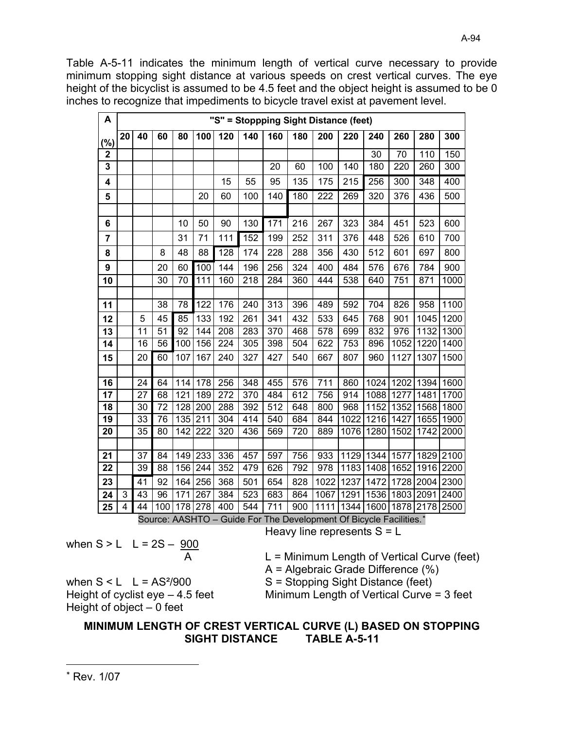Table A-5-11 indicates the minimum length of vertical curve necessary to provide minimum stopping sight distance at various speeds on crest vertical curves. The eye height of the bicyclist is assumed to be 4.5 feet and the object height is assumed to be 0 inches to recognize that impediments to bicycle travel exist at pavement level.

| A           |    |    |                 |                 |                  |            |     |                  |     |      | "S" = Stoppping Sight Distance (feet) |      |      |      |      |
|-------------|----|----|-----------------|-----------------|------------------|------------|-----|------------------|-----|------|---------------------------------------|------|------|------|------|
| (%)         | 20 | 40 | 60              | 80              | 100              | 120        | 140 | 160              | 180 | 200  | 220                                   | 240  | 260  | 280  | 300  |
| $\mathbf 2$ |    |    |                 |                 |                  |            |     |                  |     |      |                                       | 30   | 70   | 110  | 150  |
| 3           |    |    |                 |                 |                  |            |     | 20               | 60  | 100  | 140                                   | 180  | 220  | 260  | 300  |
| 4           |    |    |                 |                 |                  | 15         | 55  | 95               | 135 | 175  | 215                                   | 256  | 300  | 348  | 400  |
| 5           |    |    |                 |                 | 20               | 60         | 100 | 140              | 180 | 222  | 269                                   | 320  | 376  | 436  | 500  |
|             |    |    |                 |                 |                  |            |     |                  |     |      |                                       |      |      |      |      |
| 6           |    |    |                 | 10              | 50               | 90         | 130 | 171              | 216 | 267  | 323                                   | 384  | 451  | 523  | 600  |
| 7           |    |    |                 | 31              | 71               | 111        | 152 | 199              | 252 | 311  | 376                                   | 448  | 526  | 610  | 700  |
| 8           |    |    | 8               | 48              | 88               | 128        | 174 | 228              | 288 | 356  | 430                                   | 512  | 601  | 697  | 800  |
| 9           |    |    | 20              | 60              | 100              | 144        | 196 | 256              | 324 | 400  | 484                                   | 576  | 676  | 784  | 900  |
| 10          |    |    | 30              | 70              | 111              | 160        | 218 | 284              | 360 | 444  | 538                                   | 640  | 751  | 871  | 1000 |
|             |    |    |                 |                 |                  |            |     |                  |     |      |                                       |      |      |      |      |
| 11          |    |    | $\overline{38}$ | $\overline{78}$ | $\overline{122}$ | 176        | 240 | $\overline{313}$ | 396 | 489  | 592                                   | 704  | 826  | 958  | 1100 |
| 12          |    | 5  | 45              | 85              | 133              | 192        | 261 | 341              | 432 | 533  | 645                                   | 768  | 901  | 1045 | 1200 |
| 13          |    | 11 | 51              | $\overline{92}$ | 144              | 208        | 283 | 370              | 468 | 578  | 699                                   | 832  | 976  | 1132 | 1300 |
| 14          |    | 16 | 56              | 100             | 156              | 224        | 305 | 398              | 504 | 622  | 753                                   | 896  | 1052 | 1220 | 1400 |
| 15          |    | 20 | 60              | 107             | 167              | 240        | 327 | 427              | 540 | 667  | 807                                   | 960  | 1127 | 1307 | 1500 |
|             |    |    |                 |                 |                  |            |     |                  |     |      |                                       |      |      |      |      |
| 16          |    | 24 | 64              | 114             | 178              | 256        | 348 | 455              | 576 | 711  | 860                                   | 1024 | 1202 | 1394 | 1600 |
| 17          |    | 27 | 68              | 121             | 189              | 272        | 370 | 484              | 612 | 756  | 914                                   | 1088 | 1277 | 1481 | 1700 |
| 18          |    | 30 | 72              | 128             | 200              | 288        | 392 | 512              | 648 | 800  | 968                                   | 1152 | 1352 | 1568 | 1800 |
| 19          |    | 33 | 76              | 135             | 211              | 304        | 414 | 540              | 684 | 844  | 1022                                  | 1216 | 1427 | 1655 | 1900 |
| 20          |    | 35 | 80              | 142             | 222              | 320        | 436 | 569              | 720 | 889  | 1076                                  | 1280 | 1502 | 1742 | 2000 |
|             |    |    |                 |                 |                  |            |     |                  |     |      |                                       |      |      |      |      |
| 21          |    | 37 | 84<br>88        | 149<br>156      | 233<br>244       | 336<br>352 | 457 | 597              | 756 | 933  | 1129                                  | 1344 | 1577 | 1829 | 2100 |
| 22          |    | 39 |                 |                 |                  |            | 479 | 626              | 792 | 978  | 1183                                  | 1408 | 1652 | 1916 | 2200 |
| 23          |    | 41 | 92              | 164             | 256              | 368        | 501 | 654              | 828 | 1022 | 1237                                  | 1472 | 1728 | 2004 | 2300 |
| 24          | 3  | 43 | 96              | 171             | 267              | 384        | 523 | 683              | 864 | 1067 | 1291                                  | 1536 | 1803 | 2091 | 2400 |
| 25          | 4  | 44 | 100             | 178             | 278              | 400        | 544 | 711              | 900 | 1111 | 1344                                  | 1600 | 1878 | 2178 | 2500 |

Source: AASHTO – Guide For The Development Of Bicycle Facilities.\* Heavy line represents  $S = L$ 

when  $S > L$  L = 2S - 900

when  $S < L$   $L = AS<sup>2</sup>/900$ 

Height of cyclist  $eye - 4.5$  feet

$$
\frac{300}{A}
$$

L = Minimum Length of Vertical Curve (feet)

 $A =$  Algebraic Grade Difference (%)

S = Stopping Sight Distance (feet)

Minimum Length of Vertical Curve = 3 feet

Height of object  $-0$  feet MINIMUM LENGTH OF CREST VERTICAL CURVE (L) BASED ON STOPPING **SIGHT DISTANCE TABLE A-5-11**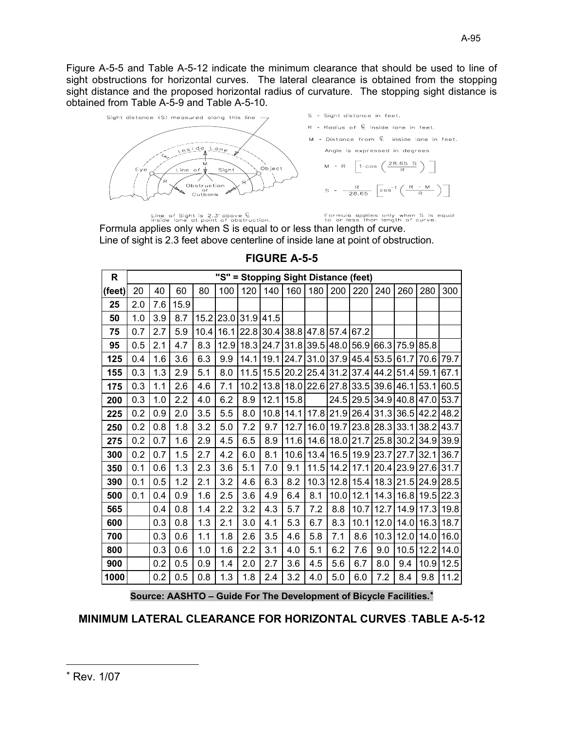Figure A-5-5 and Table A-5-12 indicate the minimum clearance that should be used to line of sight obstructions for horizontal curves. The lateral clearance is obtained from the stopping sight distance and the proposed horizontal radius of curvature. The stopping sight distance is obtained from Table A-5-9 and Table A-5-10.



Line of Sight is 2.3' above  $\widehat{\mathbb{E}}$ <br>inside lane at point of obstruction.

Formula applies only when S is equal<br>to or less than length of curve.

Formula applies only when S is equal to or less than length of curve. Line of sight is 2.3 feet above centerline of inside lane at point of obstruction.

| $\mathsf{R}$ |     |     |      |      |      | "S" = Stopping Sight Distance (feet) |                          |                |                     |           |      |           |                |      |      |
|--------------|-----|-----|------|------|------|--------------------------------------|--------------------------|----------------|---------------------|-----------|------|-----------|----------------|------|------|
| (feet)       | 20  | 40  | 60   | 80   | 100  | 120                                  | 140                      | 160            | 180                 | 200       | 220  | 240       | 260            | 280  | 300  |
| 25           | 2.0 | 7.6 | 15.9 |      |      |                                      |                          |                |                     |           |      |           |                |      |      |
| 50           | 1.0 | 3.9 | 8.7  | 15.2 | 23.0 | 31.9                                 | 41.5                     |                |                     |           |      |           |                |      |      |
| 75           | 0.7 | 2.7 | 5.9  | 10.4 | 16.1 | 22.8                                 |                          |                | 30.4 38.8 47.8 57.4 |           | 67.2 |           |                |      |      |
| 95           | 0.5 | 2.1 | 4.7  | 8.3  | 12.9 |                                      | 18.3 24.7 31.8 39.5 48.0 |                |                     |           |      |           | 56.9 66.3 75.9 | 85.8 |      |
| 125          | 0.4 | 1.6 | 3.6  | 6.3  | 9.9  | 14.1                                 |                          | 19.1 24.7      | 31.0                | 37.9      |      | 45.4 53.5 | 61.7           | 70.6 | 79.7 |
| 155          | 0.3 | 1.3 | 2.9  | 5.1  | 8.0  | 11.5                                 |                          | 15.5 20.2 25.4 |                     | 31.2      | 37.4 | 44.2      | 51.4           | 59.1 | 67.1 |
| 175          | 0.3 | 1.1 | 2.6  | 4.6  | 7.1  | 10.2                                 |                          |                | 13.8 18.0 22.6 27.8 |           |      |           | 33.5 39.6 46.1 | 53.1 | 60.5 |
| 200          | 0.3 | 1.0 | 2.2  | 4.0  | 6.2  | 8.9                                  | 12.1                     | 15.8           |                     | 24.5      |      |           | 29.5 34.9 40.8 | 47.0 | 53.7 |
| 225          | 0.2 | 0.9 | 2.0  | 3.5  | 5.5  | 8.0                                  | 10.8                     | 14.1           |                     | 17.8 21.9 |      |           | 26.4 31.3 36.5 | 42.2 | 48.2 |
| 250          | 0.2 | 0.8 | 1.8  | 3.2  | 5.0  | 7.2                                  | 9.7                      | 12.7           | 16.0                | 19.7      |      | 23.8 28.3 | 33.1           | 38.2 | 43.7 |
| 275          | 0.2 | 0.7 | 1.6  | 2.9  | 4.5  | 6.5                                  | 8.9                      | 11.6           |                     | 14.6 18.0 | 21.7 |           | $25.8$ 30.2    | 34.9 | 39.9 |
| 300          | 0.2 | 0.7 | 1.5  | 2.7  | 4.2  | 6.0                                  | 8.1                      | 10.6           | 13.4                | 16.5      |      | 19.9 23.7 | 27.7           | 32.1 | 36.7 |
| 350          | 0.1 | 0.6 | 1.3  | 2.3  | 3.6  | 5.1                                  | 7.0                      | 9.1            | 11.5                | 14.2      | 17.1 |           | 20.4 23.9      | 27.6 | 31.7 |
| 390          | 0.1 | 0.5 | 1.2  | 2.1  | 3.2  | 4.6                                  | 6.3                      | 8.2            | 10.3                | 12.8      | 15.4 |           | 18.3 21.5      | 24.9 | 28.5 |
| 500          | 0.1 | 0.4 | 0.9  | 1.6  | 2.5  | 3.6                                  | 4.9                      | 6.4            | 8.1                 | 10.0      | 12.1 |           | 14.3 16.8      | 19.5 | 22.3 |
| 565          |     | 0.4 | 0.8  | 1.4  | 2.2  | 3.2                                  | 4.3                      | 5.7            | 7.2                 | 8.8       | 10.7 | 12.7      | 14.9           | 17.3 | 19.8 |
| 600          |     | 0.3 | 0.8  | 1.3  | 2.1  | 3.0                                  | 4.1                      | 5.3            | 6.7                 | 8.3       | 10.1 | 12.0      | 14.0           | 16.3 | 18.7 |
| 700          |     | 0.3 | 0.6  | 1.1  | 1.8  | 2.6                                  | 3.5                      | 4.6            | 5.8                 | 7.1       | 8.6  | 10.3      | 12.0           | 14.0 | 16.0 |
| 800          |     | 0.3 | 0.6  | 1.0  | 1.6  | 2.2                                  | 3.1                      | 4.0            | 5.1                 | 6.2       | 7.6  | 9.0       | 10.5           | 12.2 | 14.0 |
| 900          |     | 0.2 | 0.5  | 0.9  | 1.4  | 2.0                                  | 2.7                      | 3.6            | 4.5                 | 5.6       | 6.7  | 8.0       | 9.4            | 10.9 | 12.5 |
| 1000         |     | 0.2 | 0.5  | 0.8  | 1.3  | 1.8                                  | 2.4                      | 3.2            | 4.0                 | 5.0       | 6.0  | 7.2       | 8.4            | 9.8  | 11.2 |

## **FIGURE A-5-5**

Source: AASHTO - Guide For The Development of Bicycle Facilities.<sup>\*</sup>

MINIMUM LATERAL CLEARANCE FOR HORIZONTAL CURVES TABLE A-5-12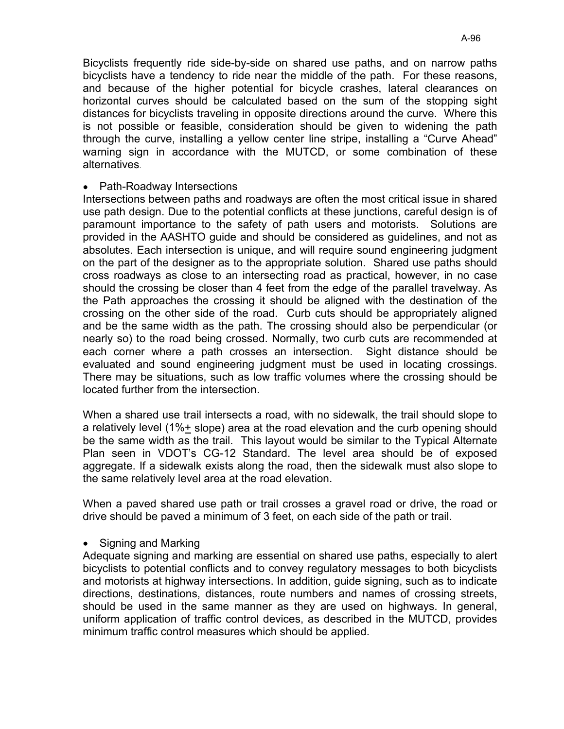Bicyclists frequently ride side-by-side on shared use paths, and on narrow paths bicyclists have a tendency to ride near the middle of the path. For these reasons, and because of the higher potential for bicycle crashes, lateral clearances on horizontal curves should be calculated based on the sum of the stopping sight distances for bicyclists traveling in opposite directions around the curve. Where this is not possible or feasible, consideration should be given to widening the path through the curve, installing a yellow center line stripe, installing a "Curve Ahead" warning sign in accordance with the MUTCD, or some combination of these alternatives.

#### • Path-Roadway Intersections

Intersections between paths and roadways are often the most critical issue in shared use path design. Due to the potential conflicts at these junctions, careful design is of paramount importance to the safety of path users and motorists. Solutions are provided in the AASHTO guide and should be considered as guidelines, and not as absolutes. Each intersection is unique, and will require sound engineering judgment on the part of the designer as to the appropriate solution. Shared use paths should cross roadways as close to an intersecting road as practical, however, in no case should the crossing be closer than 4 feet from the edge of the parallel travelway. As the Path approaches the crossing it should be aligned with the destination of the crossing on the other side of the road. Curb cuts should be appropriately aligned and be the same width as the path. The crossing should also be perpendicular (or nearly so) to the road being crossed. Normally, two curb cuts are recommended at each corner where a path crosses an intersection. Sight distance should be evaluated and sound engineering judgment must be used in locating crossings. There may be situations, such as low traffic volumes where the crossing should be located further from the intersection.

When a shared use trail intersects a road, with no sidewalk, the trail should slope to a relatively level (1%+ slope) area at the road elevation and the curb opening should be the same width as the trail. This layout would be similar to the Typical Alternate Plan seen in VDOT's CG-12 Standard. The level area should be of exposed aggregate. If a sidewalk exists along the road, then the sidewalk must also slope to the same relatively level area at the road elevation.

When a paved shared use path or trail crosses a gravel road or drive, the road or drive should be paved a minimum of 3 feet, on each side of the path or trail.

Signing and Marking  $\bullet$ 

Adequate signing and marking are essential on shared use paths, especially to alert bicyclists to potential conflicts and to convey regulatory messages to both bicyclists and motorists at highway intersections. In addition, guide signing, such as to indicate directions, destinations, distances, route numbers and names of crossing streets, should be used in the same manner as they are used on highways. In general, uniform application of traffic control devices, as described in the MUTCD, provides minimum traffic control measures which should be applied.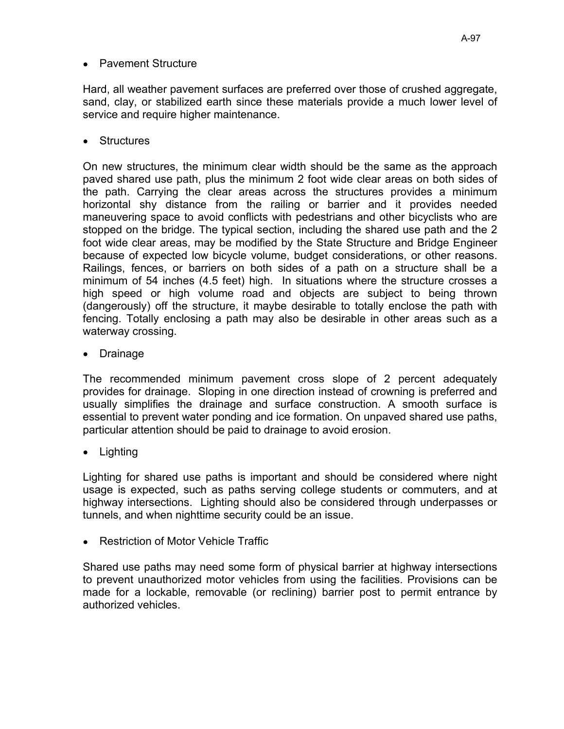Hard, all weather pavement surfaces are preferred over those of crushed aggregate, sand, clay, or stabilized earth since these materials provide a much lower level of service and require higher maintenance.

• Structures

On new structures, the minimum clear width should be the same as the approach paved shared use path, plus the minimum 2 foot wide clear areas on both sides of the path. Carrying the clear areas across the structures provides a minimum horizontal shy distance from the railing or barrier and it provides needed maneuvering space to avoid conflicts with pedestrians and other bicyclists who are stopped on the bridge. The typical section, including the shared use path and the 2 foot wide clear areas, may be modified by the State Structure and Bridge Engineer because of expected low bicycle volume, budget considerations, or other reasons. Railings, fences, or barriers on both sides of a path on a structure shall be a minimum of 54 inches (4.5 feet) high. In situations where the structure crosses a high speed or high volume road and objects are subject to being thrown (dangerously) off the structure, it maybe desirable to totally enclose the path with fencing. Totally enclosing a path may also be desirable in other areas such as a waterway crossing.

• Drainage

The recommended minimum pavement cross slope of 2 percent adequately provides for drainage. Sloping in one direction instead of crowning is preferred and usually simplifies the drainage and surface construction. A smooth surface is essential to prevent water ponding and ice formation. On unpaved shared use paths, particular attention should be paid to drainage to avoid erosion.

• Lighting

Lighting for shared use paths is important and should be considered where night usage is expected, such as paths serving college students or commuters, and at highway intersections. Lighting should also be considered through underpasses or tunnels, and when nighttime security could be an issue.

Restriction of Motor Vehicle Traffic

Shared use paths may need some form of physical barrier at highway intersections to prevent unauthorized motor vehicles from using the facilities. Provisions can be made for a lockable, removable (or reclining) barrier post to permit entrance by authorized vehicles.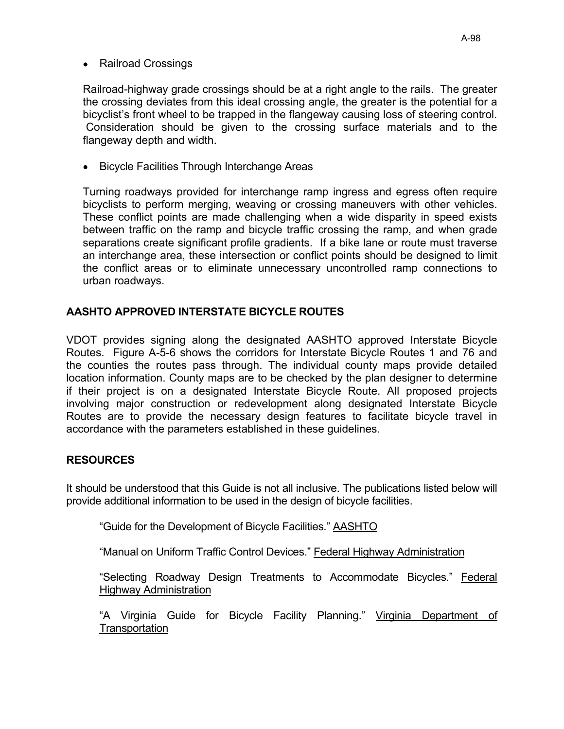#### • Railroad Crossings

Railroad-highway grade crossings should be at a right angle to the rails. The greater the crossing deviates from this ideal crossing angle, the greater is the potential for a bicyclist's front wheel to be trapped in the flangeway causing loss of steering control. Consideration should be given to the crossing surface materials and to the flangeway depth and width.

• Bicycle Facilities Through Interchange Areas

Turning roadways provided for interchange ramp ingress and egress often require bicyclists to perform merging, weaving or crossing maneuvers with other vehicles. These conflict points are made challenging when a wide disparity in speed exists between traffic on the ramp and bicycle traffic crossing the ramp, and when grade separations create significant profile gradients. If a bike lane or route must traverse an interchange area, these intersection or conflict points should be designed to limit the conflict areas or to eliminate unnecessary uncontrolled ramp connections to urban roadways.

## AASHTO APPROVED INTERSTATE BICYCLE ROUTES

VDOT provides signing along the designated AASHTO approved Interstate Bicycle Routes. Figure A-5-6 shows the corridors for Interstate Bicycle Routes 1 and 76 and the counties the routes pass through. The individual county maps provide detailed location information. County maps are to be checked by the plan designer to determine if their project is on a designated Interstate Bicycle Route. All proposed projects involving major construction or redevelopment along designated Interstate Bicycle Routes are to provide the necessary design features to facilitate bicycle travel in accordance with the parameters established in these guidelines.

### **RESOURCES**

It should be understood that this Guide is not all inclusive. The publications listed below will provide additional information to be used in the design of bicycle facilities.

"Guide for the Development of Bicycle Facilities." AASHTO

"Manual on Uniform Traffic Control Devices." Federal Highway Administration

"Selecting Roadway Design Treatments to Accommodate Bicycles." Federal **Highway Administration** 

"A Virginia Guide for Bicycle Facility Planning." Virginia Department of Transportation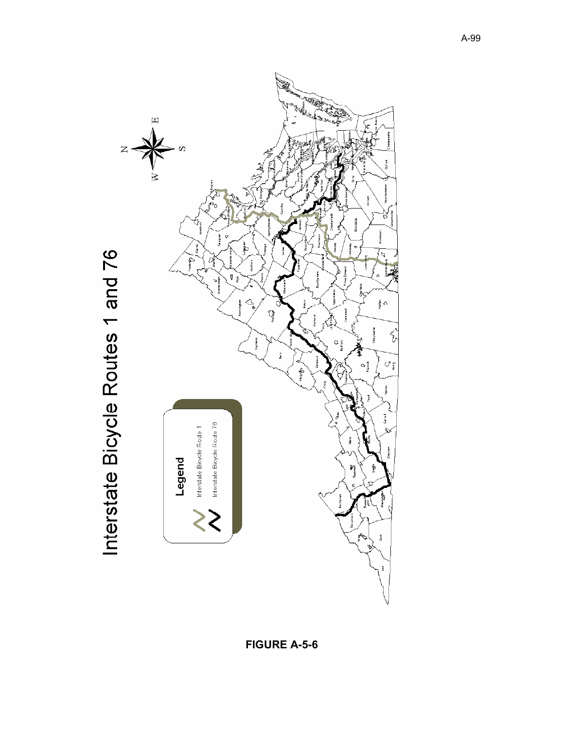

FIGURE A-5-6